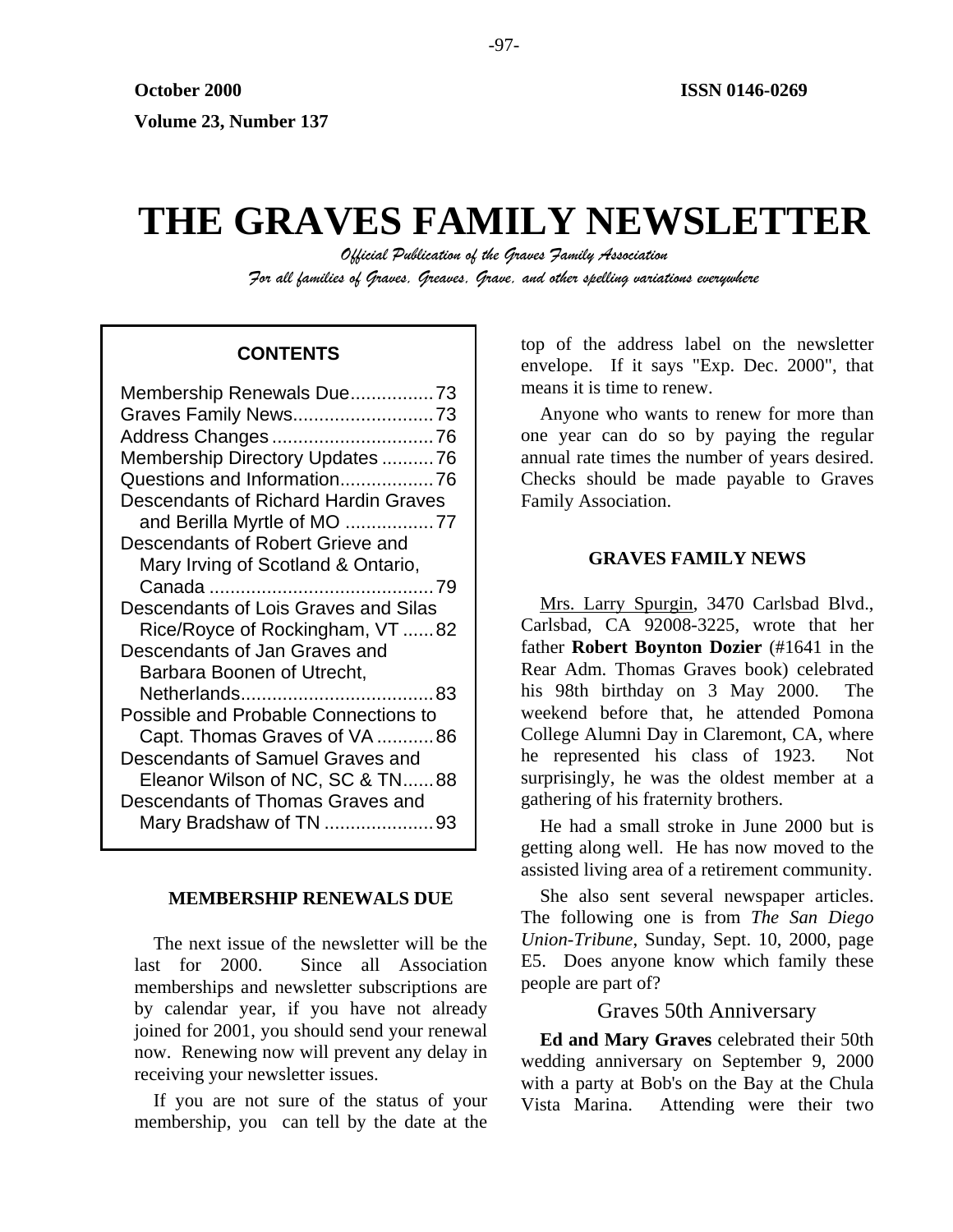# **THE GRAVES FAMILY NEWSLETTER**

*Official Publication of the Graves Family Association For all families of Graves, Greaves, Grave, and other spelling variations everywhere* 

# **CONTENTS**

| Membership Renewals Due73                   |
|---------------------------------------------|
| Graves Family News73                        |
|                                             |
| Membership Directory Updates 76             |
| Questions and Information76                 |
| <b>Descendants of Richard Hardin Graves</b> |
| and Berilla Myrtle of MO 77                 |
| Descendants of Robert Grieve and            |
| Mary Irving of Scotland & Ontario,          |
|                                             |
| Descendants of Lois Graves and Silas        |
| Rice/Royce of Rockingham, VT 82             |
| Descendants of Jan Graves and               |
| Barbara Boonen of Utrecht,                  |
|                                             |
| Possible and Probable Connections to        |
| Capt. Thomas Graves of VA86                 |
| Descendants of Samuel Graves and            |
| Eleanor Wilson of NC, SC & TN88             |
| Descendants of Thomas Graves and            |
| Mary Bradshaw of TN 93                      |
|                                             |

## **MEMBERSHIP RENEWALS DUE**

The next issue of the newsletter will be the last for 2000. Since all Association memberships and newsletter subscriptions are by calendar year, if you have not already joined for 2001, you should send your renewal now. Renewing now will prevent any delay in receiving your newsletter issues.

If you are not sure of the status of your membership, you can tell by the date at the top of the address label on the newsletter envelope. If it says "Exp. Dec. 2000", that means it is time to renew.

Anyone who wants to renew for more than one year can do so by paying the regular annual rate times the number of years desired. Checks should be made payable to Graves Family Association.

# **GRAVES FAMILY NEWS**

Mrs. Larry Spurgin, 3470 Carlsbad Blvd., Carlsbad, CA 92008-3225, wrote that her father **Robert Boynton Dozier** (#1641 in the Rear Adm. Thomas Graves book) celebrated his 98th birthday on 3 May 2000. The weekend before that, he attended Pomona College Alumni Day in Claremont, CA, where he represented his class of 1923. Not surprisingly, he was the oldest member at a gathering of his fraternity brothers.

He had a small stroke in June 2000 but is getting along well. He has now moved to the assisted living area of a retirement community.

She also sent several newspaper articles. The following one is from *The San Diego Union-Tribune*, Sunday, Sept. 10, 2000, page E5. Does anyone know which family these people are part of?

# Graves 50th Anniversary

**Ed and Mary Graves** celebrated their 50th wedding anniversary on September 9, 2000 with a party at Bob's on the Bay at the Chula Vista Marina. Attending were their two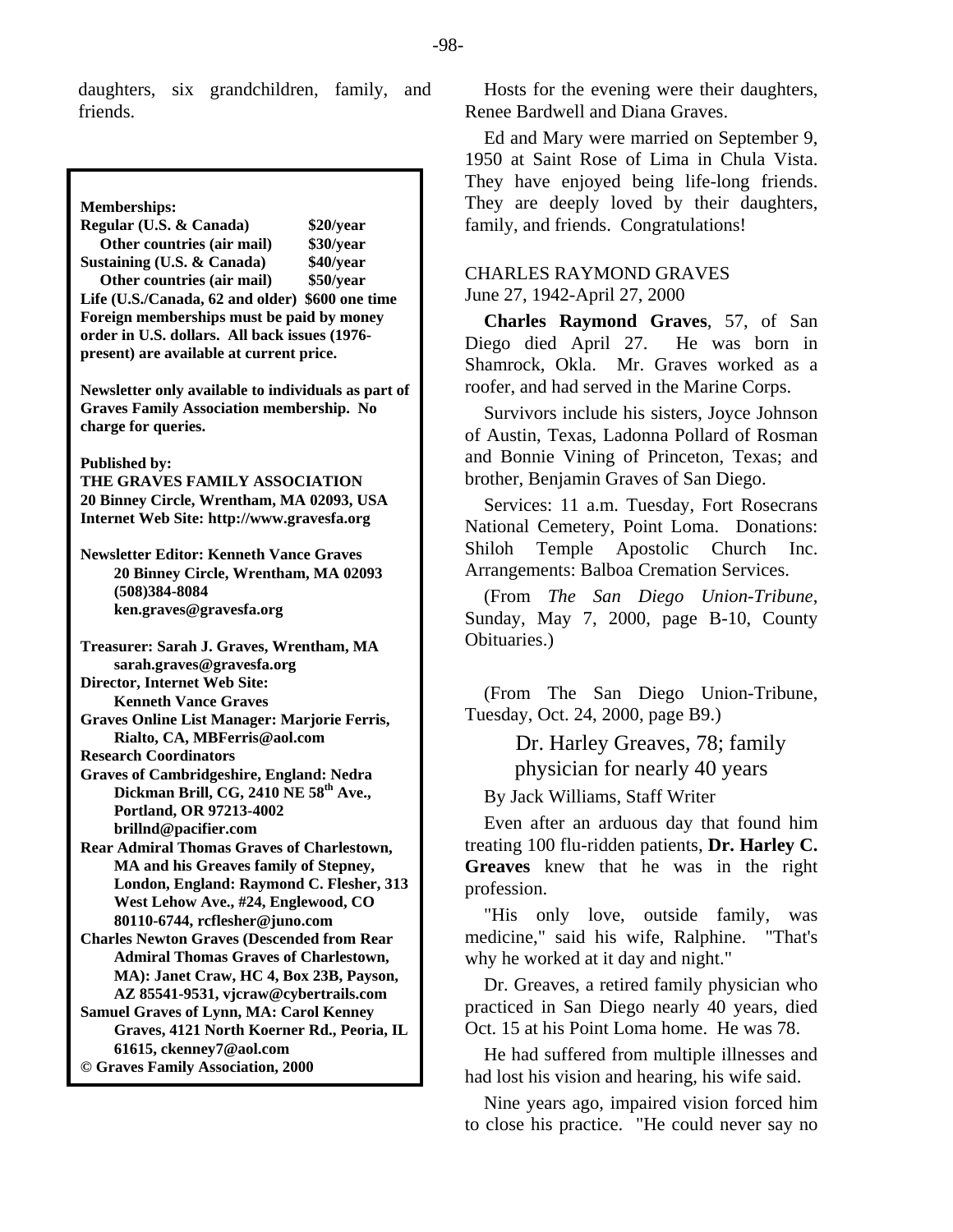daughters, six grandchildren, family, and friends.

#### **Memberships:**

**Regular (U.S. & Canada) \$20/year Other countries (air mail) \$30/year Sustaining (U.S. & Canada) \$40/year Other countries (air mail) \$50/year Life (U.S./Canada, 62 and older) \$600 one time Foreign memberships must be paid by money order in U.S. dollars. All back issues (1976 present) are available at current price.** 

**Newsletter only available to individuals as part of Graves Family Association membership. No charge for queries.** 

#### **Published by:**

**THE GRAVES FAMILY ASSOCIATION 20 Binney Circle, Wrentham, MA 02093, USA Internet Web Site: http://www.gravesfa.org** 

**Newsletter Editor: Kenneth Vance Graves 20 Binney Circle, Wrentham, MA 02093 (508)384-8084 ken.graves@gravesfa.org** 

**Treasurer: Sarah J. Graves, Wrentham, MA sarah.graves@gravesfa.org** 

**Director, Internet Web Site: Kenneth Vance Graves** 

**Graves Online List Manager: Marjorie Ferris, Rialto, CA, MBFerris@aol.com** 

**Research Coordinators** 

**Graves of Cambridgeshire, England: Nedra**  Dickman Brill, CG, 2410 NE 58<sup>th</sup> Ave., **Portland, OR 97213-4002 brillnd@pacifier.com** 

**Rear Admiral Thomas Graves of Charlestown, MA and his Greaves family of Stepney, London, England: Raymond C. Flesher, 313 West Lehow Ave., #24, Englewood, CO 80110-6744, rcflesher@juno.com** 

- **Charles Newton Graves (Descended from Rear Admiral Thomas Graves of Charlestown, MA): Janet Craw, HC 4, Box 23B, Payson, AZ 85541-9531, vjcraw@cybertrails.com**
- **Samuel Graves of Lynn, MA: Carol Kenney Graves, 4121 North Koerner Rd., Peoria, IL 61615, ckenney7@aol.com © Graves Family Association, 2000**

Hosts for the evening were their daughters, Renee Bardwell and Diana Graves.

Ed and Mary were married on September 9, 1950 at Saint Rose of Lima in Chula Vista. They have enjoyed being life-long friends. They are deeply loved by their daughters, family, and friends. Congratulations!

# CHARLES RAYMOND GRAVES June 27, 1942-April 27, 2000

**Charles Raymond Graves**, 57, of San Diego died April 27. He was born in Shamrock, Okla. Mr. Graves worked as a roofer, and had served in the Marine Corps.

Survivors include his sisters, Joyce Johnson of Austin, Texas, Ladonna Pollard of Rosman and Bonnie Vining of Princeton, Texas; and brother, Benjamin Graves of San Diego.

Services: 11 a.m. Tuesday, Fort Rosecrans National Cemetery, Point Loma. Donations: Shiloh Temple Apostolic Church Inc. Arrangements: Balboa Cremation Services.

(From *The San Diego Union-Tribune*, Sunday, May 7, 2000, page B-10, County Obituaries.)

(From The San Diego Union-Tribune, Tuesday, Oct. 24, 2000, page B9.)

> Dr. Harley Greaves, 78; family physician for nearly 40 years

By Jack Williams, Staff Writer

Even after an arduous day that found him treating 100 flu-ridden patients, **Dr. Harley C. Greaves** knew that he was in the right profession.

"His only love, outside family, was medicine," said his wife, Ralphine. "That's why he worked at it day and night."

Dr. Greaves, a retired family physician who practiced in San Diego nearly 40 years, died Oct. 15 at his Point Loma home. He was 78.

He had suffered from multiple illnesses and had lost his vision and hearing, his wife said.

Nine years ago, impaired vision forced him to close his practice. "He could never say no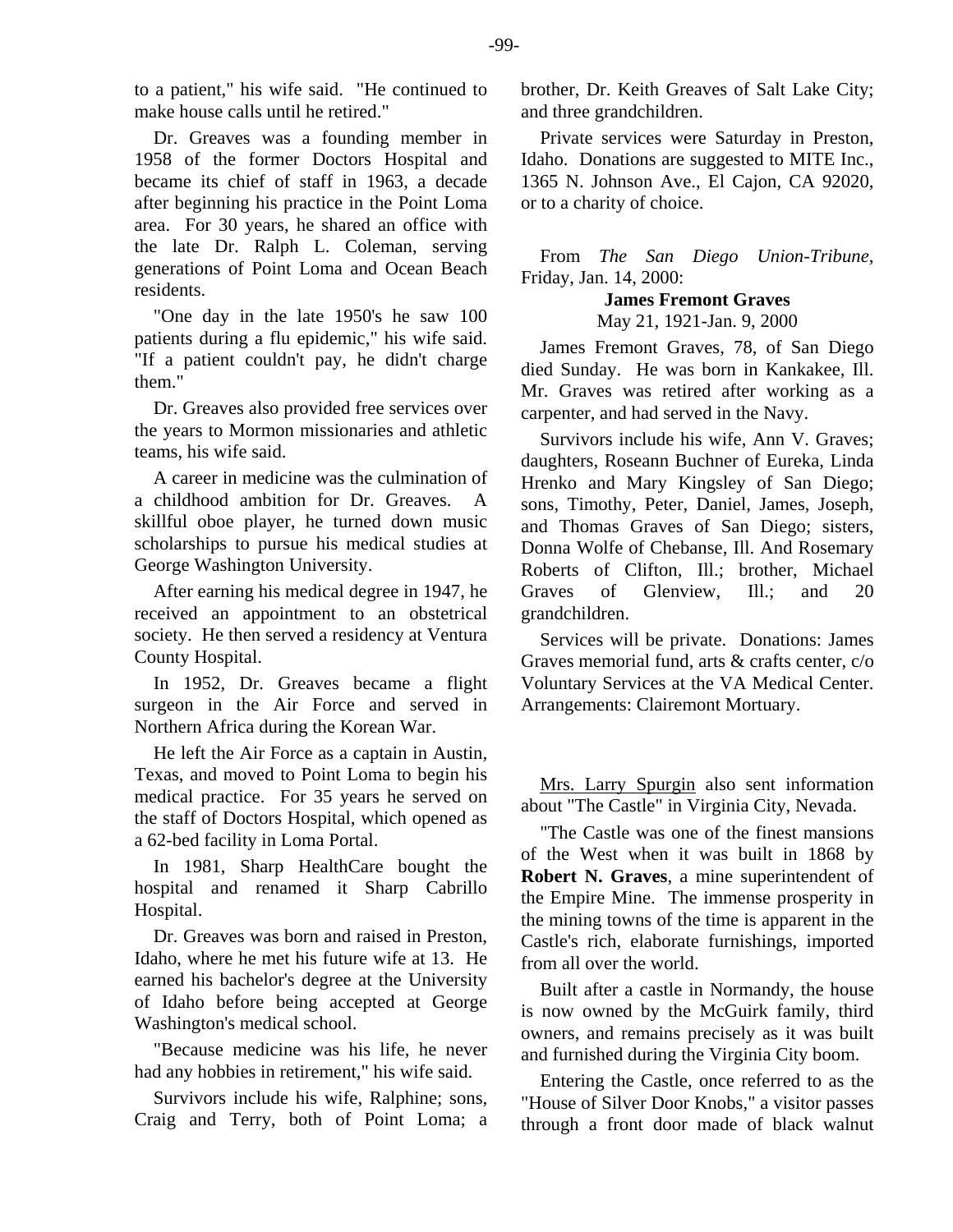to a patient," his wife said. "He continued to make house calls until he retired."

Dr. Greaves was a founding member in 1958 of the former Doctors Hospital and became its chief of staff in 1963, a decade after beginning his practice in the Point Loma area. For 30 years, he shared an office with the late Dr. Ralph L. Coleman, serving generations of Point Loma and Ocean Beach residents.

"One day in the late 1950's he saw 100 patients during a flu epidemic," his wife said. "If a patient couldn't pay, he didn't charge them."

Dr. Greaves also provided free services over the years to Mormon missionaries and athletic teams, his wife said.

A career in medicine was the culmination of a childhood ambition for Dr. Greaves. A skillful oboe player, he turned down music scholarships to pursue his medical studies at George Washington University.

After earning his medical degree in 1947, he received an appointment to an obstetrical society. He then served a residency at Ventura County Hospital.

In 1952, Dr. Greaves became a flight surgeon in the Air Force and served in Northern Africa during the Korean War.

He left the Air Force as a captain in Austin, Texas, and moved to Point Loma to begin his medical practice. For 35 years he served on the staff of Doctors Hospital, which opened as a 62-bed facility in Loma Portal.

In 1981, Sharp HealthCare bought the hospital and renamed it Sharp Cabrillo Hospital.

Dr. Greaves was born and raised in Preston, Idaho, where he met his future wife at 13. He earned his bachelor's degree at the University of Idaho before being accepted at George Washington's medical school.

"Because medicine was his life, he never had any hobbies in retirement," his wife said.

Survivors include his wife, Ralphine; sons, Craig and Terry, both of Point Loma; a brother, Dr. Keith Greaves of Salt Lake City; and three grandchildren.

Private services were Saturday in Preston, Idaho. Donations are suggested to MITE Inc., 1365 N. Johnson Ave., El Cajon, CA 92020, or to a charity of choice.

From *The San Diego Union-Tribune*, Friday, Jan. 14, 2000:

## **James Fremont Graves**

May 21, 1921-Jan. 9, 2000

James Fremont Graves, 78, of San Diego died Sunday. He was born in Kankakee, Ill. Mr. Graves was retired after working as a carpenter, and had served in the Navy.

Survivors include his wife, Ann V. Graves; daughters, Roseann Buchner of Eureka, Linda Hrenko and Mary Kingsley of San Diego; sons, Timothy, Peter, Daniel, James, Joseph, and Thomas Graves of San Diego; sisters, Donna Wolfe of Chebanse, Ill. And Rosemary Roberts of Clifton, Ill.; brother, Michael Graves of Glenview, Ill.; and 20 grandchildren.

Services will be private. Donations: James Graves memorial fund, arts & crafts center, c/o Voluntary Services at the VA Medical Center. Arrangements: Clairemont Mortuary.

Mrs. Larry Spurgin also sent information about "The Castle" in Virginia City, Nevada.

"The Castle was one of the finest mansions of the West when it was built in 1868 by **Robert N. Graves**, a mine superintendent of the Empire Mine. The immense prosperity in the mining towns of the time is apparent in the Castle's rich, elaborate furnishings, imported from all over the world.

Built after a castle in Normandy, the house is now owned by the McGuirk family, third owners, and remains precisely as it was built and furnished during the Virginia City boom.

Entering the Castle, once referred to as the "House of Silver Door Knobs," a visitor passes through a front door made of black walnut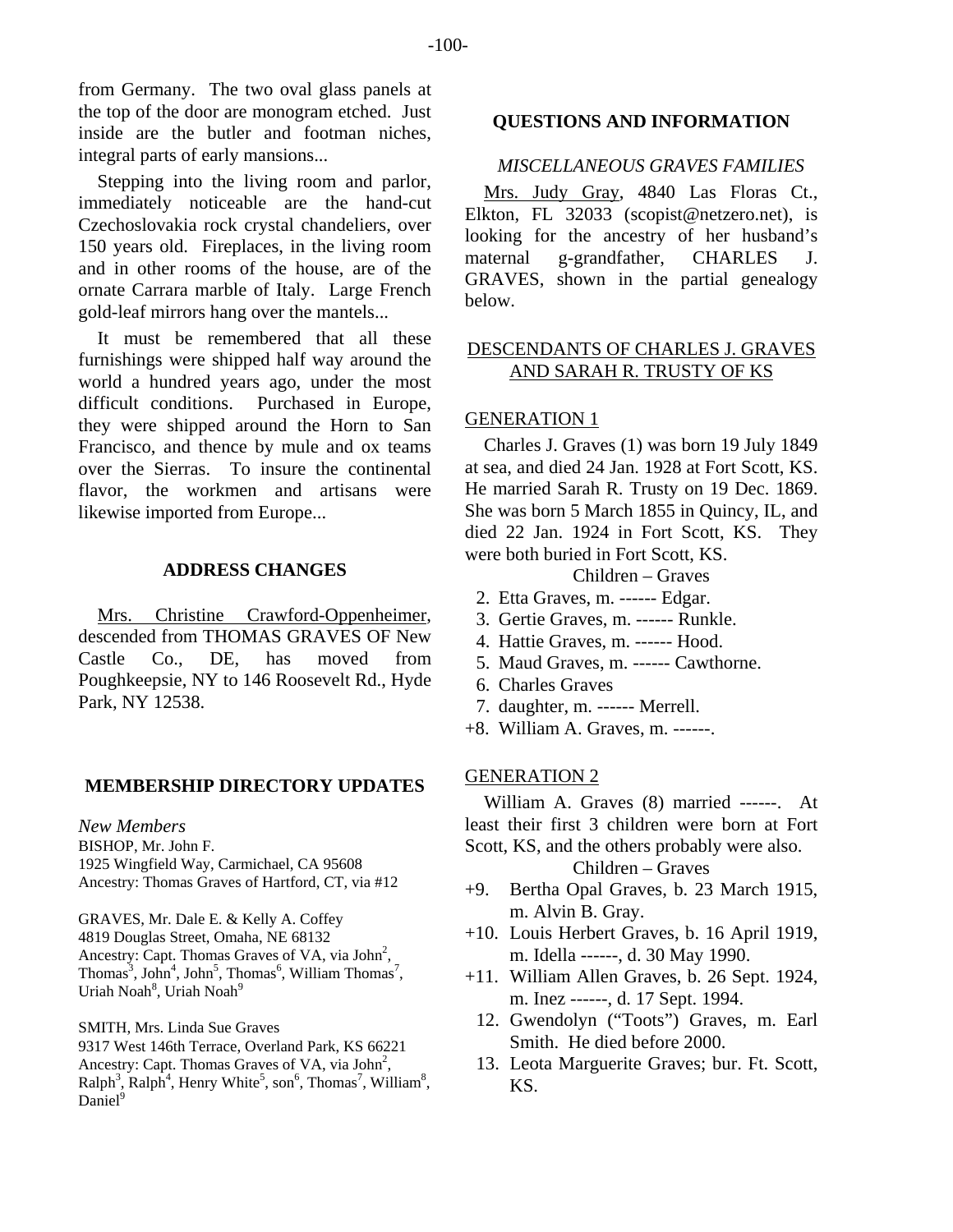from Germany. The two oval glass panels at the top of the door are monogram etched. Just inside are the butler and footman niches, integral parts of early mansions...

Stepping into the living room and parlor, immediately noticeable are the hand-cut Czechoslovakia rock crystal chandeliers, over 150 years old. Fireplaces, in the living room and in other rooms of the house, are of the ornate Carrara marble of Italy. Large French gold-leaf mirrors hang over the mantels...

It must be remembered that all these furnishings were shipped half way around the world a hundred years ago, under the most difficult conditions. Purchased in Europe, they were shipped around the Horn to San Francisco, and thence by mule and ox teams over the Sierras. To insure the continental flavor, the workmen and artisans were likewise imported from Europe...

## **ADDRESS CHANGES**

Mrs. Christine Crawford-Oppenheimer, descended from THOMAS GRAVES OF New Castle Co., DE, has moved from Poughkeepsie, NY to 146 Roosevelt Rd., Hyde Park, NY 12538.

#### **MEMBERSHIP DIRECTORY UPDATES**

*New Members*  BISHOP, Mr. John F. 1925 Wingfield Way, Carmichael, CA 95608 Ancestry: Thomas Graves of Hartford, CT, via #12

GRAVES, Mr. Dale E. & Kelly A. Coffey 4819 Douglas Street, Omaha, NE 68132 Ancestry: Capt. Thomas Graves of VA, via John<sup>2</sup>,  $\text{Thomas}^3$ ,  $\text{John}^4$ ,  $\text{John}^5$ ,  $\text{Thomas}^6$ , William  $\text{Thomas}^7$ , Uriah Noah<sup>8</sup>, Uriah Noah<sup>9</sup>

SMITH, Mrs. Linda Sue Graves 9317 West 146th Terrace, Overland Park, KS 66221 Ancestry: Capt. Thomas Graves of VA, via  $John<sup>2</sup>$ ,  $\text{Ralph}^3$ ,  $\text{Ralph}^4$ , Henry White<sup>5</sup>, son<sup>6</sup>, Thomas<sup>7</sup>, William<sup>8</sup>, Daniel<sup>9</sup>

#### **QUESTIONS AND INFORMATION**

# *MISCELLANEOUS GRAVES FAMILIES*

Mrs. Judy Gray, 4840 Las Floras Ct., Elkton, FL 32033 (scopist@netzero.net), is looking for the ancestry of her husband's maternal g-grandfather, CHARLES J. GRAVES, shown in the partial genealogy below.

# DESCENDANTS OF CHARLES J. GRAVES AND SARAH R. TRUSTY OF KS

## GENERATION 1

Charles J. Graves (1) was born 19 July 1849 at sea, and died 24 Jan. 1928 at Fort Scott, KS. He married Sarah R. Trusty on 19 Dec. 1869. She was born 5 March 1855 in Quincy, IL, and died 22 Jan. 1924 in Fort Scott, KS. They were both buried in Fort Scott, KS.

# Children – Graves

- 2. Etta Graves, m. ------ Edgar.
- 3. Gertie Graves, m. ------ Runkle.
- 4. Hattie Graves, m. ------ Hood.
- 5. Maud Graves, m. ------ Cawthorne.
- 6. Charles Graves
- 7. daughter, m. ------ Merrell.
- +8. William A. Graves, m. ------.

## GENERATION 2

William A. Graves (8) married ------. At least their first 3 children were born at Fort Scott, KS, and the others probably were also. Children – Graves

- +9. Bertha Opal Graves, b. 23 March 1915, m. Alvin B. Gray.
- +10. Louis Herbert Graves, b. 16 April 1919, m. Idella ------, d. 30 May 1990.
- +11. William Allen Graves, b. 26 Sept. 1924, m. Inez ------, d. 17 Sept. 1994.
	- 12. Gwendolyn ("Toots") Graves, m. Earl Smith. He died before 2000.
	- 13. Leota Marguerite Graves; bur. Ft. Scott, KS.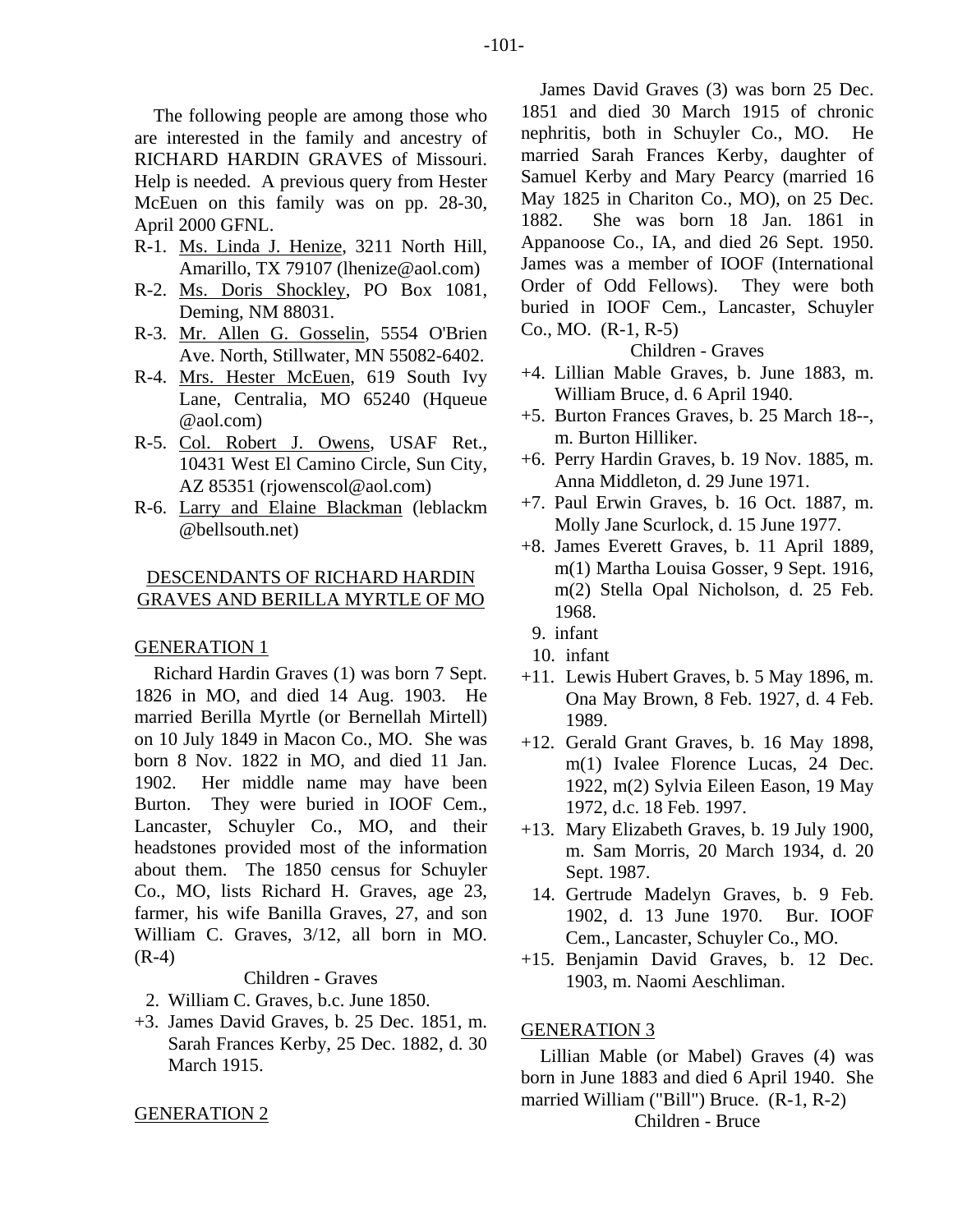The following people are among those who are interested in the family and ancestry of RICHARD HARDIN GRAVES of Missouri. Help is needed. A previous query from Hester McEuen on this family was on pp. 28-30, April 2000 GFNL.

- R-1. Ms. Linda J. Henize, 3211 North Hill, Amarillo, TX 79107 (lhenize@aol.com)
- R-2. Ms. Doris Shockley, PO Box 1081, Deming, NM 88031.
- R-3. Mr. Allen G. Gosselin, 5554 O'Brien Ave. North, Stillwater, MN 55082-6402.
- R-4. Mrs. Hester McEuen, 619 South Ivy Lane, Centralia, MO 65240 (Hqueue @aol.com)
- R-5. Col. Robert J. Owens, USAF Ret., 10431 West El Camino Circle, Sun City, AZ 85351 (rjowenscol@aol.com)
- R-6. Larry and Elaine Blackman (leblackm @bellsouth.net)

# DESCENDANTS OF RICHARD HARDIN GRAVES AND BERILLA MYRTLE OF MO

#### GENERATION 1

Richard Hardin Graves (1) was born 7 Sept. 1826 in MO, and died 14 Aug. 1903. He married Berilla Myrtle (or Bernellah Mirtell) on 10 July 1849 in Macon Co., MO. She was born 8 Nov. 1822 in MO, and died 11 Jan. 1902. Her middle name may have been Burton. They were buried in IOOF Cem., Lancaster, Schuyler Co., MO, and their headstones provided most of the information about them. The 1850 census for Schuyler Co., MO, lists Richard H. Graves, age 23, farmer, his wife Banilla Graves, 27, and son William C. Graves, 3/12, all born in MO. (R-4)

Children - Graves

- 2. William C. Graves, b.c. June 1850.
- +3. James David Graves, b. 25 Dec. 1851, m. Sarah Frances Kerby, 25 Dec. 1882, d. 30 March 1915.

#### GENERATION 2

James David Graves (3) was born 25 Dec. 1851 and died 30 March 1915 of chronic nephritis, both in Schuyler Co., MO. He married Sarah Frances Kerby, daughter of Samuel Kerby and Mary Pearcy (married 16 May 1825 in Chariton Co., MO), on 25 Dec. 1882. She was born 18 Jan. 1861 in Appanoose Co., IA, and died 26 Sept. 1950. James was a member of IOOF (International Order of Odd Fellows). They were both buried in IOOF Cem., Lancaster, Schuyler Co., MO. (R-1, R-5)

Children - Graves

- +4. Lillian Mable Graves, b. June 1883, m. William Bruce, d. 6 April 1940.
- +5. Burton Frances Graves, b. 25 March 18--, m. Burton Hilliker.
- +6. Perry Hardin Graves, b. 19 Nov. 1885, m. Anna Middleton, d. 29 June 1971.
- +7. Paul Erwin Graves, b. 16 Oct. 1887, m. Molly Jane Scurlock, d. 15 June 1977.
- +8. James Everett Graves, b. 11 April 1889, m(1) Martha Louisa Gosser, 9 Sept. 1916, m(2) Stella Opal Nicholson, d. 25 Feb. 1968.
	- 9. infant
	- 10. infant
- +11. Lewis Hubert Graves, b. 5 May 1896, m. Ona May Brown, 8 Feb. 1927, d. 4 Feb. 1989.
- +12. Gerald Grant Graves, b. 16 May 1898, m(1) Ivalee Florence Lucas, 24 Dec. 1922, m(2) Sylvia Eileen Eason, 19 May 1972, d.c. 18 Feb. 1997.
- +13. Mary Elizabeth Graves, b. 19 July 1900, m. Sam Morris, 20 March 1934, d. 20 Sept. 1987.
- 14. Gertrude Madelyn Graves, b. 9 Feb. 1902, d. 13 June 1970. Bur. IOOF Cem., Lancaster, Schuyler Co., MO.
- +15. Benjamin David Graves, b. 12 Dec. 1903, m. Naomi Aeschliman.

## GENERATION 3

Lillian Mable (or Mabel) Graves (4) was born in June 1883 and died 6 April 1940. She married William ("Bill") Bruce. (R-1, R-2) Children - Bruce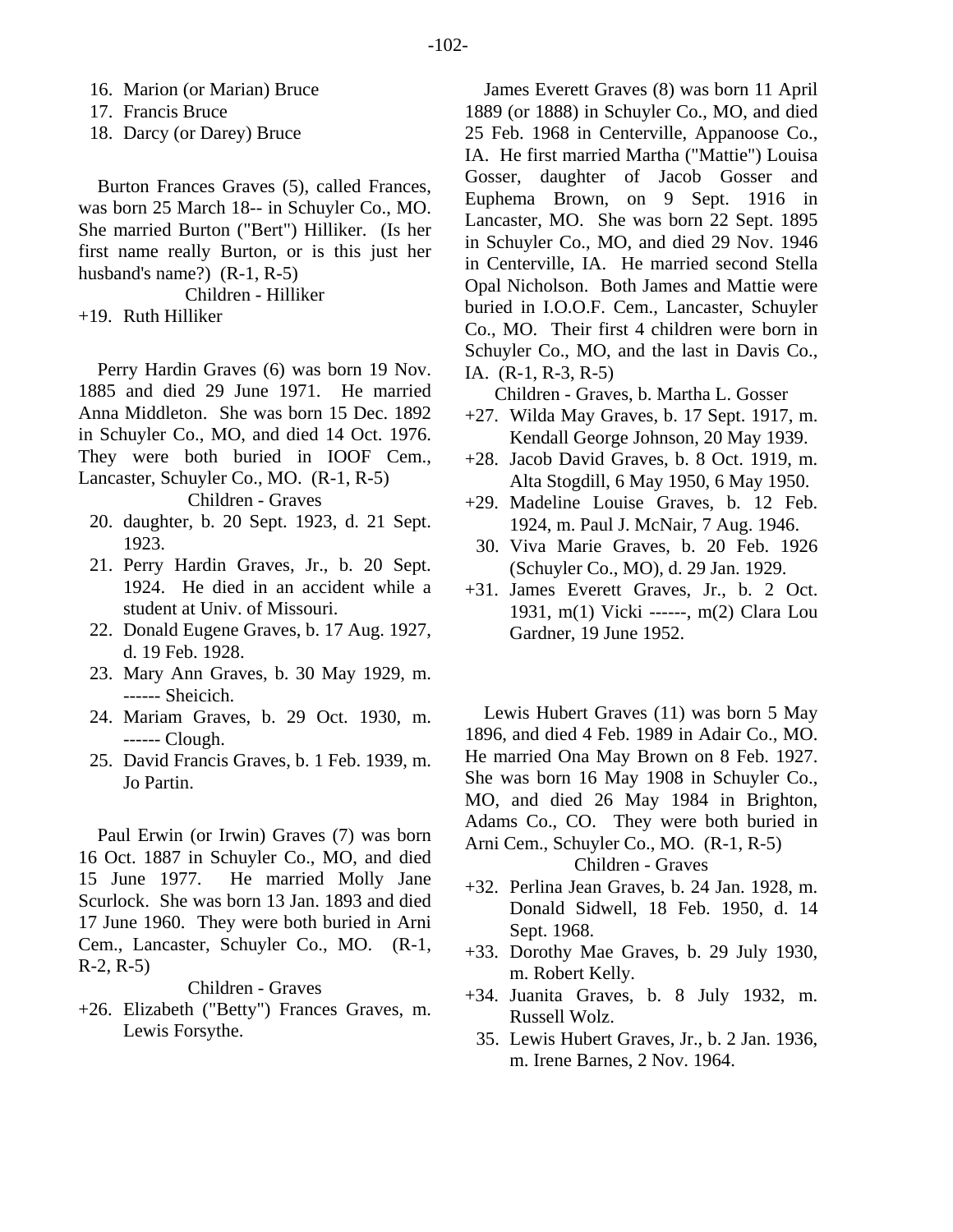16. Marion (or Marian) Bruce

17. Francis Bruce

18. Darcy (or Darey) Bruce

Burton Frances Graves (5), called Frances, was born 25 March 18-- in Schuyler Co., MO. She married Burton ("Bert") Hilliker. (Is her first name really Burton, or is this just her husband's name?) (R-1, R-5)

Children - Hilliker

+19. Ruth Hilliker

Perry Hardin Graves (6) was born 19 Nov. 1885 and died 29 June 1971. He married Anna Middleton. She was born 15 Dec. 1892 in Schuyler Co., MO, and died 14 Oct. 1976. They were both buried in IOOF Cem., Lancaster, Schuyler Co., MO. (R-1, R-5)

Children - Graves

- 20. daughter, b. 20 Sept. 1923, d. 21 Sept. 1923.
- 21. Perry Hardin Graves, Jr., b. 20 Sept. 1924. He died in an accident while a student at Univ. of Missouri.
- 22. Donald Eugene Graves, b. 17 Aug. 1927, d. 19 Feb. 1928.
- 23. Mary Ann Graves, b. 30 May 1929, m. ------ Sheicich.
- 24. Mariam Graves, b. 29 Oct. 1930, m. ------ Clough.
- 25. David Francis Graves, b. 1 Feb. 1939, m. Jo Partin.

Paul Erwin (or Irwin) Graves (7) was born 16 Oct. 1887 in Schuyler Co., MO, and died 15 June 1977. He married Molly Jane Scurlock. She was born 13 Jan. 1893 and died 17 June 1960. They were both buried in Arni Cem., Lancaster, Schuyler Co., MO. (R-1, R-2, R-5)

Children - Graves

+26. Elizabeth ("Betty") Frances Graves, m. Lewis Forsythe.

James Everett Graves (8) was born 11 April 1889 (or 1888) in Schuyler Co., MO, and died 25 Feb. 1968 in Centerville, Appanoose Co., IA. He first married Martha ("Mattie") Louisa Gosser, daughter of Jacob Gosser and Euphema Brown, on 9 Sept. 1916 in Lancaster, MO. She was born 22 Sept. 1895 in Schuyler Co., MO, and died 29 Nov. 1946 in Centerville, IA. He married second Stella Opal Nicholson. Both James and Mattie were buried in I.O.O.F. Cem., Lancaster, Schuyler Co., MO. Their first 4 children were born in Schuyler Co., MO, and the last in Davis Co., IA. (R-1, R-3, R-5)

Children - Graves, b. Martha L. Gosser

- +27. Wilda May Graves, b. 17 Sept. 1917, m. Kendall George Johnson, 20 May 1939.
- +28. Jacob David Graves, b. 8 Oct. 1919, m. Alta Stogdill, 6 May 1950, 6 May 1950.
- +29. Madeline Louise Graves, b. 12 Feb. 1924, m. Paul J. McNair, 7 Aug. 1946.
- 30. Viva Marie Graves, b. 20 Feb. 1926 (Schuyler Co., MO), d. 29 Jan. 1929.
- +31. James Everett Graves, Jr., b. 2 Oct. 1931, m(1) Vicki ------, m(2) Clara Lou Gardner, 19 June 1952.

Lewis Hubert Graves (11) was born 5 May 1896, and died 4 Feb. 1989 in Adair Co., MO. He married Ona May Brown on 8 Feb. 1927. She was born 16 May 1908 in Schuyler Co., MO, and died 26 May 1984 in Brighton, Adams Co., CO. They were both buried in Arni Cem., Schuyler Co., MO. (R-1, R-5) Children - Graves

+32. Perlina Jean Graves, b. 24 Jan. 1928, m. Donald Sidwell, 18 Feb. 1950, d. 14 Sept. 1968.

- +33. Dorothy Mae Graves, b. 29 July 1930, m. Robert Kelly.
- +34. Juanita Graves, b. 8 July 1932, m. Russell Wolz.
	- 35. Lewis Hubert Graves, Jr., b. 2 Jan. 1936, m. Irene Barnes, 2 Nov. 1964.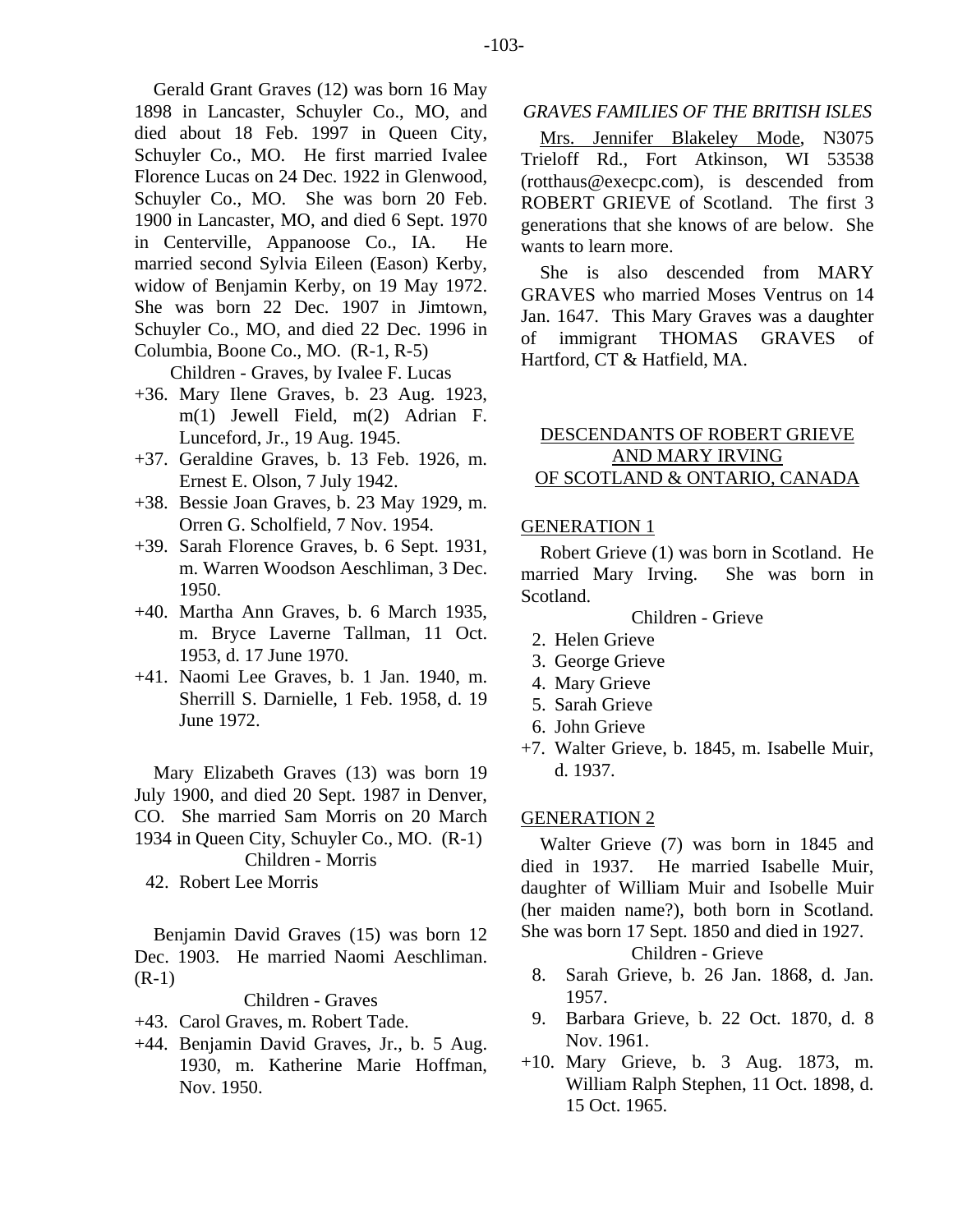died about 18 Feb. 1997 in Queen City, Schuyler Co., MO. He first married Ivalee Florence Lucas on 24 Dec. 1922 in Glenwood, Schuyler Co., MO. She was born 20 Feb. 1900 in Lancaster, MO, and died 6 Sept. 1970 in Centerville, Appanoose Co., IA. He married second Sylvia Eileen (Eason) Kerby, widow of Benjamin Kerby, on 19 May 1972. She was born 22 Dec. 1907 in Jimtown, Schuyler Co., MO, and died 22 Dec. 1996 in Columbia, Boone Co., MO. (R-1, R-5)

Children - Graves, by Ivalee F. Lucas

- +36. Mary Ilene Graves, b. 23 Aug. 1923, m(1) Jewell Field, m(2) Adrian F. Lunceford, Jr., 19 Aug. 1945.
- +37. Geraldine Graves, b. 13 Feb. 1926, m. Ernest E. Olson, 7 July 1942.
- +38. Bessie Joan Graves, b. 23 May 1929, m. Orren G. Scholfield, 7 Nov. 1954.
- +39. Sarah Florence Graves, b. 6 Sept. 1931, m. Warren Woodson Aeschliman, 3 Dec. 1950.
- +40. Martha Ann Graves, b. 6 March 1935, m. Bryce Laverne Tallman, 11 Oct. 1953, d. 17 June 1970.
- +41. Naomi Lee Graves, b. 1 Jan. 1940, m. Sherrill S. Darnielle, 1 Feb. 1958, d. 19 June 1972.

Mary Elizabeth Graves (13) was born 19 July 1900, and died 20 Sept. 1987 in Denver, CO. She married Sam Morris on 20 March 1934 in Queen City, Schuyler Co., MO. (R-1) Children - Morris

42. Robert Lee Morris

Benjamin David Graves (15) was born 12 Dec. 1903. He married Naomi Aeschliman. (R-1)

# Children - Graves

- +43. Carol Graves, m. Robert Tade.
- +44. Benjamin David Graves, Jr., b. 5 Aug. 1930, m. Katherine Marie Hoffman, Nov. 1950.

*GRAVES FAMILIES OF THE BRITISH ISLES* 

Mrs. Jennifer Blakeley Mode, N3075 Trieloff Rd., Fort Atkinson, WI 53538 (rotthaus@execpc.com), is descended from ROBERT GRIEVE of Scotland. The first 3 generations that she knows of are below. She wants to learn more.

She is also descended from MARY GRAVES who married Moses Ventrus on 14 Jan. 1647. This Mary Graves was a daughter of immigrant THOMAS GRAVES of Hartford, CT & Hatfield, MA.

# DESCENDANTS OF ROBERT GRIEVE AND MARY IRVING OF SCOTLAND & ONTARIO, CANADA

# GENERATION 1

Robert Grieve (1) was born in Scotland. He married Mary Irving. She was born in Scotland.

## Children - Grieve

- 2. Helen Grieve
- 3. George Grieve
- 4. Mary Grieve
- 5. Sarah Grieve
- 6. John Grieve
- +7. Walter Grieve, b. 1845, m. Isabelle Muir, d. 1937.

# GENERATION 2

Walter Grieve (7) was born in 1845 and died in 1937. He married Isabelle Muir, daughter of William Muir and Isobelle Muir (her maiden name?), both born in Scotland. She was born 17 Sept. 1850 and died in 1927.

Children - Grieve

- 8. Sarah Grieve, b. 26 Jan. 1868, d. Jan. 1957.
- 9. Barbara Grieve, b. 22 Oct. 1870, d. 8 Nov. 1961.
- +10. Mary Grieve, b. 3 Aug. 1873, m. William Ralph Stephen, 11 Oct. 1898, d. 15 Oct. 1965.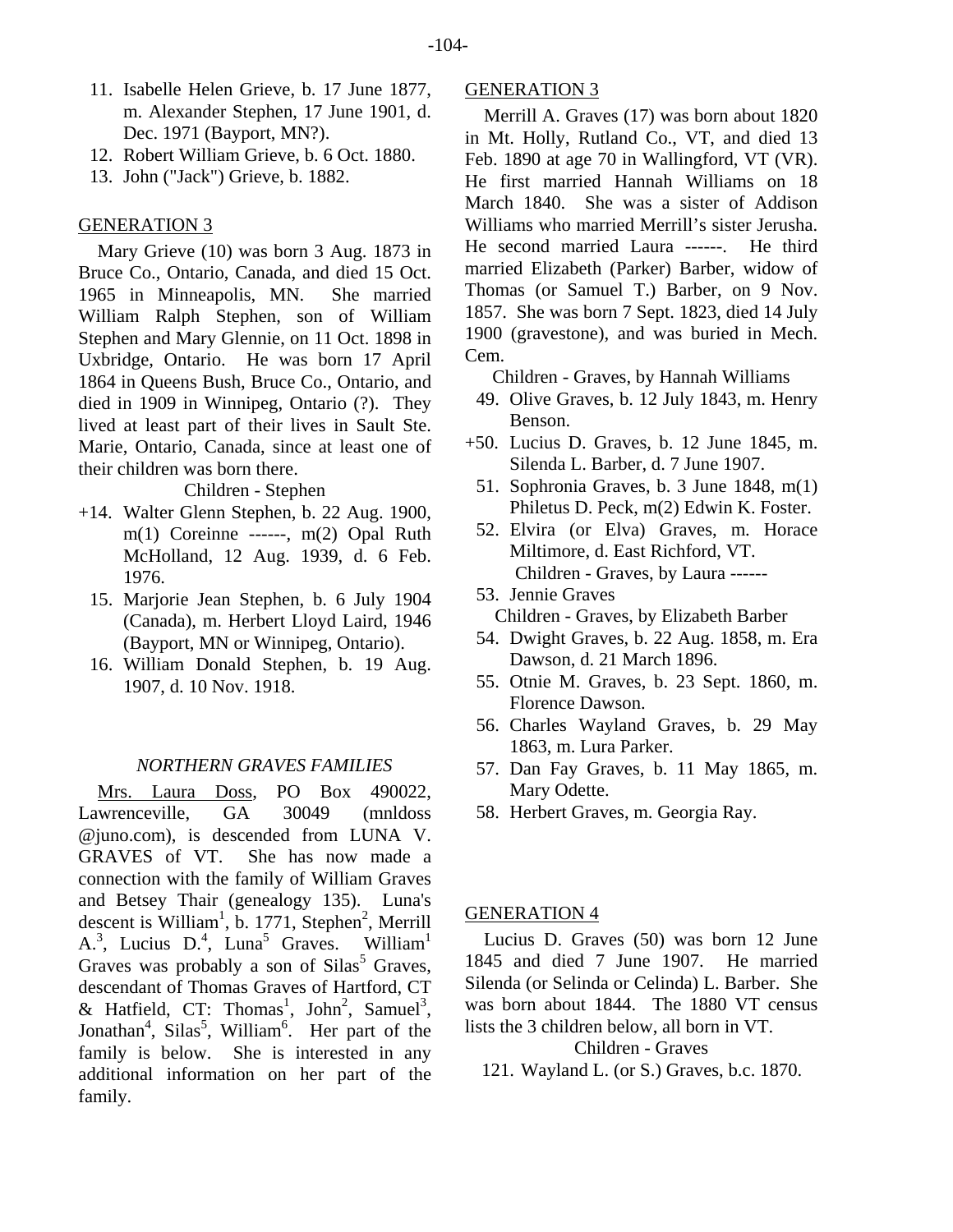- 11. Isabelle Helen Grieve, b. 17 June 1877, m. Alexander Stephen, 17 June 1901, d. Dec. 1971 (Bayport, MN?).
- 12. Robert William Grieve, b. 6 Oct. 1880.
- 13. John ("Jack") Grieve, b. 1882.

# GENERATION 3

Mary Grieve (10) was born 3 Aug. 1873 in Bruce Co., Ontario, Canada, and died 15 Oct. 1965 in Minneapolis, MN. She married William Ralph Stephen, son of William Stephen and Mary Glennie, on 11 Oct. 1898 in Uxbridge, Ontario. He was born 17 April 1864 in Queens Bush, Bruce Co., Ontario, and died in 1909 in Winnipeg, Ontario (?). They lived at least part of their lives in Sault Ste. Marie, Ontario, Canada, since at least one of their children was born there.

Children - Stephen

- +14. Walter Glenn Stephen, b. 22 Aug. 1900, m(1) Coreinne ------, m(2) Opal Ruth McHolland, 12 Aug. 1939, d. 6 Feb. 1976.
	- 15. Marjorie Jean Stephen, b. 6 July 1904 (Canada), m. Herbert Lloyd Laird, 1946 (Bayport, MN or Winnipeg, Ontario).
	- 16. William Donald Stephen, b. 19 Aug. 1907, d. 10 Nov. 1918.

## *NORTHERN GRAVES FAMILIES*

Mrs. Laura Doss, PO Box 490022, Lawrenceville, GA 30049 (mnldoss @juno.com), is descended from LUNA V. GRAVES of VT. She has now made a connection with the family of William Graves and Betsey Thair (genealogy 135). Luna's descent is William<sup>1</sup>, b. 1771, Stephen<sup>2</sup>, Merrill A.<sup>3</sup>, Lucius D.<sup>4</sup>, Luna<sup>5</sup> Graves. William<sup>1</sup> Graves was probably a son of  $Silas<sup>5</sup>$  Graves, descendant of Thomas Graves of Hartford, CT & Hatfield, CT: Thomas<sup>1</sup>, John<sup>2</sup>, Samuel<sup>3</sup>, Jonathan<sup>4</sup>, Silas<sup>5</sup>, William<sup>6</sup>. Her part of the family is below. She is interested in any additional information on her part of the family.

# GENERATION 3

Merrill A. Graves (17) was born about 1820 in Mt. Holly, Rutland Co., VT, and died 13 Feb. 1890 at age 70 in Wallingford, VT (VR). He first married Hannah Williams on 18 March 1840. She was a sister of Addison Williams who married Merrill's sister Jerusha. He second married Laura ------. He third married Elizabeth (Parker) Barber, widow of Thomas (or Samuel T.) Barber, on 9 Nov. 1857. She was born 7 Sept. 1823, died 14 July 1900 (gravestone), and was buried in Mech. Cem.

Children - Graves, by Hannah Williams

- 49. Olive Graves, b. 12 July 1843, m. Henry Benson.
- +50. Lucius D. Graves, b. 12 June 1845, m. Silenda L. Barber, d. 7 June 1907.
	- 51. Sophronia Graves, b. 3 June 1848, m(1) Philetus D. Peck, m(2) Edwin K. Foster.
	- 52. Elvira (or Elva) Graves, m. Horace Miltimore, d. East Richford, VT. Children - Graves, by Laura ------
	- 53. Jennie Graves Children - Graves, by Elizabeth Barber
- 54. Dwight Graves, b. 22 Aug. 1858, m. Era Dawson, d. 21 March 1896.
- 55. Otnie M. Graves, b. 23 Sept. 1860, m. Florence Dawson.
- 56. Charles Wayland Graves, b. 29 May 1863, m. Lura Parker.
- 57. Dan Fay Graves, b. 11 May 1865, m. Mary Odette.
- 58. Herbert Graves, m. Georgia Ray.

## GENERATION 4

Lucius D. Graves (50) was born 12 June 1845 and died 7 June 1907. He married Silenda (or Selinda or Celinda) L. Barber. She was born about 1844. The 1880 VT census lists the 3 children below, all born in VT.

Children - Graves

121. Wayland L. (or S.) Graves, b.c. 1870.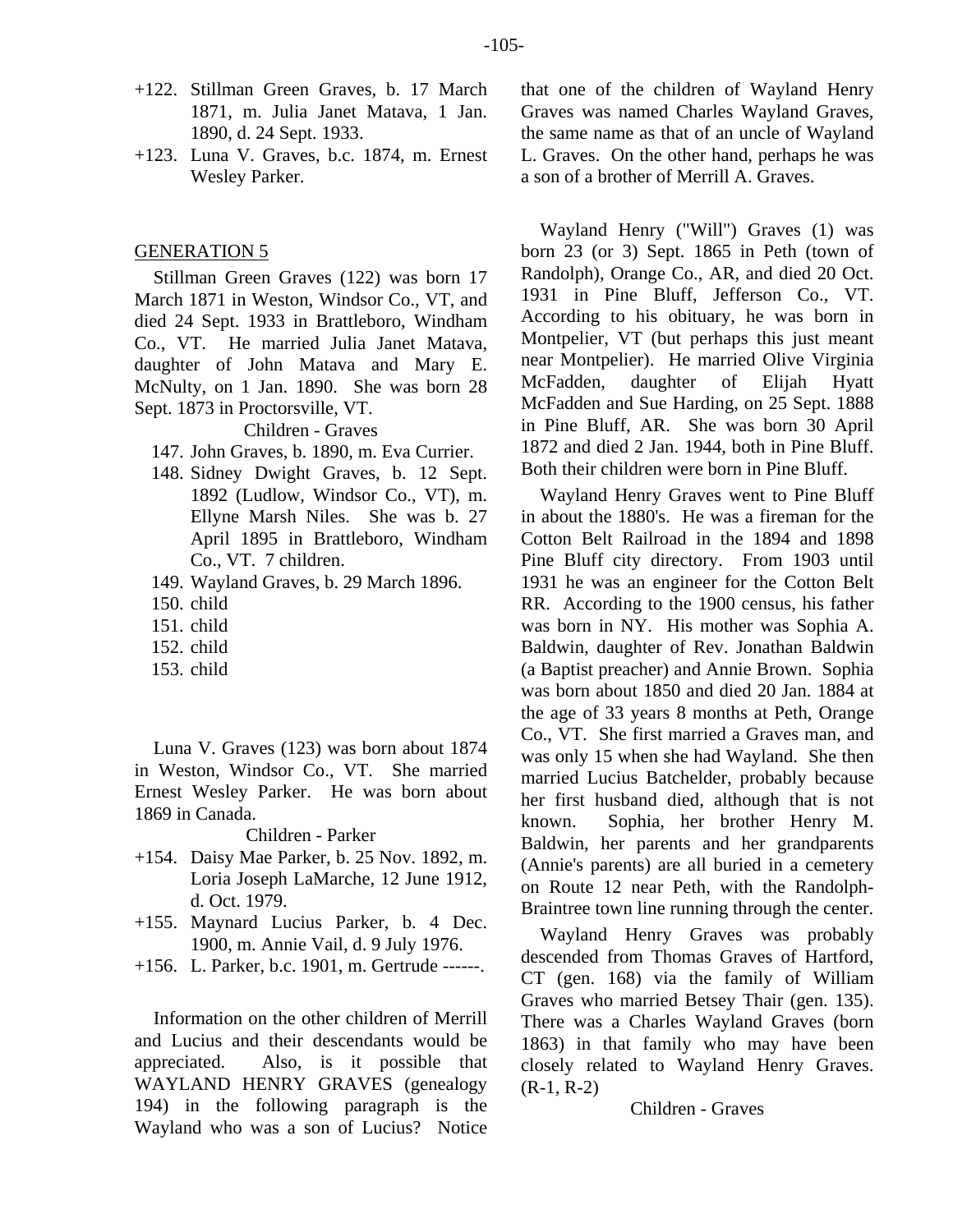- +122. Stillman Green Graves, b. 17 March 1871, m. Julia Janet Matava, 1 Jan. 1890, d. 24 Sept. 1933.
- +123. Luna V. Graves, b.c. 1874, m. Ernest Wesley Parker.

## GENERATION 5

Stillman Green Graves (122) was born 17 March 1871 in Weston, Windsor Co., VT, and died 24 Sept. 1933 in Brattleboro, Windham Co., VT. He married Julia Janet Matava, daughter of John Matava and Mary E. McNulty, on 1 Jan. 1890. She was born 28 Sept. 1873 in Proctorsville, VT.

Children - Graves

- 147. John Graves, b. 1890, m. Eva Currier.
- 148. Sidney Dwight Graves, b. 12 Sept. 1892 (Ludlow, Windsor Co., VT), m. Ellyne Marsh Niles. She was b. 27 April 1895 in Brattleboro, Windham Co., VT. 7 children.
- 149. Wayland Graves, b. 29 March 1896.
- 150. child
- 151. child
- 152. child
- 153. child

Luna V. Graves (123) was born about 1874 in Weston, Windsor Co., VT. She married Ernest Wesley Parker. He was born about 1869 in Canada.

## Children - Parker

- +154. Daisy Mae Parker, b. 25 Nov. 1892, m. Loria Joseph LaMarche, 12 June 1912, d. Oct. 1979.
- +155. Maynard Lucius Parker, b. 4 Dec. 1900, m. Annie Vail, d. 9 July 1976.
- +156. L. Parker, b.c. 1901, m. Gertrude ------.

Information on the other children of Merrill and Lucius and their descendants would be appreciated. Also, is it possible that WAYLAND HENRY GRAVES (genealogy 194) in the following paragraph is the Wayland who was a son of Lucius? Notice that one of the children of Wayland Henry Graves was named Charles Wayland Graves, the same name as that of an uncle of Wayland L. Graves. On the other hand, perhaps he was a son of a brother of Merrill A. Graves.

Wayland Henry ("Will") Graves (1) was born 23 (or 3) Sept. 1865 in Peth (town of Randolph), Orange Co., AR, and died 20 Oct. 1931 in Pine Bluff, Jefferson Co., VT. According to his obituary, he was born in Montpelier, VT (but perhaps this just meant near Montpelier). He married Olive Virginia McFadden, daughter of Elijah Hyatt McFadden and Sue Harding, on 25 Sept. 1888 in Pine Bluff, AR. She was born 30 April 1872 and died 2 Jan. 1944, both in Pine Bluff. Both their children were born in Pine Bluff.

Wayland Henry Graves went to Pine Bluff in about the 1880's. He was a fireman for the Cotton Belt Railroad in the 1894 and 1898 Pine Bluff city directory. From 1903 until 1931 he was an engineer for the Cotton Belt RR. According to the 1900 census, his father was born in NY. His mother was Sophia A. Baldwin, daughter of Rev. Jonathan Baldwin (a Baptist preacher) and Annie Brown. Sophia was born about 1850 and died 20 Jan. 1884 at the age of 33 years 8 months at Peth, Orange Co., VT. She first married a Graves man, and was only 15 when she had Wayland. She then married Lucius Batchelder, probably because her first husband died, although that is not known. Sophia, her brother Henry M. Baldwin, her parents and her grandparents (Annie's parents) are all buried in a cemetery on Route 12 near Peth, with the Randolph-Braintree town line running through the center.

Wayland Henry Graves was probably descended from Thomas Graves of Hartford, CT (gen. 168) via the family of William Graves who married Betsey Thair (gen. 135). There was a Charles Wayland Graves (born 1863) in that family who may have been closely related to Wayland Henry Graves.  $(R-1, R-2)$ 

#### Children - Graves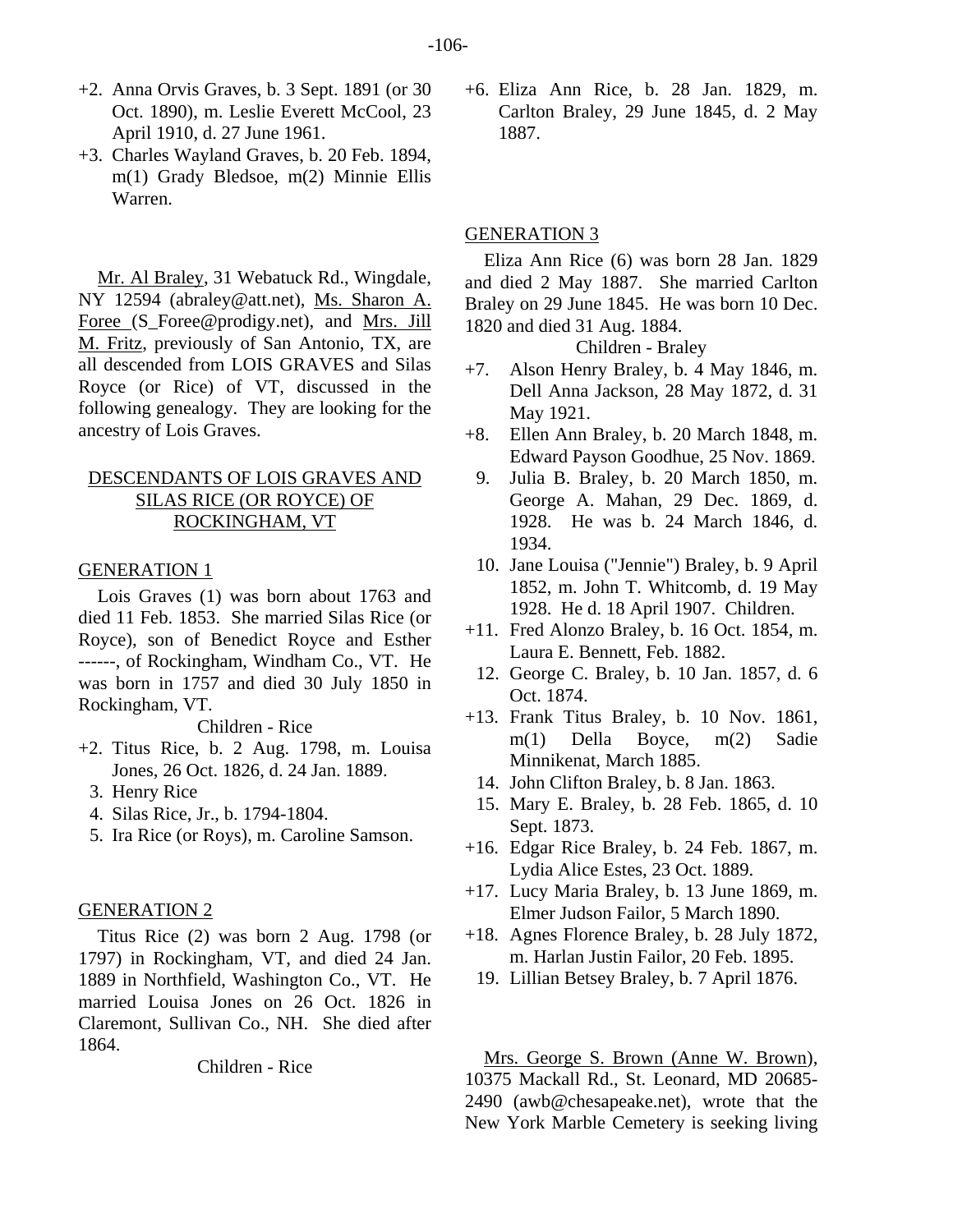- +2. Anna Orvis Graves, b. 3 Sept. 1891 (or 30 Oct. 1890), m. Leslie Everett McCool, 23 April 1910, d. 27 June 1961.
- +3. Charles Wayland Graves, b. 20 Feb. 1894, m(1) Grady Bledsoe, m(2) Minnie Ellis Warren.

Mr. Al Braley, 31 Webatuck Rd., Wingdale, NY 12594 (abraley@att.net), Ms. Sharon A. Foree (S\_Foree@prodigy.net), and Mrs. Jill M. Fritz, previously of San Antonio, TX, are all descended from LOIS GRAVES and Silas Royce (or Rice) of VT, discussed in the following genealogy. They are looking for the ancestry of Lois Graves.

# DESCENDANTS OF LOIS GRAVES AND SILAS RICE (OR ROYCE) OF ROCKINGHAM, VT

#### GENERATION 1

Lois Graves (1) was born about 1763 and died 11 Feb. 1853. She married Silas Rice (or Royce), son of Benedict Royce and Esther ------, of Rockingham, Windham Co., VT. He was born in 1757 and died 30 July 1850 in Rockingham, VT.

Children - Rice

- +2. Titus Rice, b. 2 Aug. 1798, m. Louisa Jones, 26 Oct. 1826, d. 24 Jan. 1889.
	- 3. Henry Rice
	- 4. Silas Rice, Jr., b. 1794-1804.
	- 5. Ira Rice (or Roys), m. Caroline Samson.

## GENERATION 2

Titus Rice (2) was born 2 Aug. 1798 (or 1797) in Rockingham, VT, and died 24 Jan. 1889 in Northfield, Washington Co., VT. He married Louisa Jones on 26 Oct. 1826 in Claremont, Sullivan Co., NH. She died after 1864.

Children - Rice

+6. Eliza Ann Rice, b. 28 Jan. 1829, m. Carlton Braley, 29 June 1845, d. 2 May 1887.

#### GENERATION 3

Eliza Ann Rice (6) was born 28 Jan. 1829 and died 2 May 1887. She married Carlton Braley on 29 June 1845. He was born 10 Dec. 1820 and died 31 Aug. 1884.

Children - Braley

- +7. Alson Henry Braley, b. 4 May 1846, m. Dell Anna Jackson, 28 May 1872, d. 31 May 1921.
- +8. Ellen Ann Braley, b. 20 March 1848, m. Edward Payson Goodhue, 25 Nov. 1869.
- 9. Julia B. Braley, b. 20 March 1850, m. George A. Mahan, 29 Dec. 1869, d. 1928. He was b. 24 March 1846, d. 1934.
- 10. Jane Louisa ("Jennie") Braley, b. 9 April 1852, m. John T. Whitcomb, d. 19 May 1928. He d. 18 April 1907. Children.
- +11. Fred Alonzo Braley, b. 16 Oct. 1854, m. Laura E. Bennett, Feb. 1882.
- 12. George C. Braley, b. 10 Jan. 1857, d. 6 Oct. 1874.
- +13. Frank Titus Braley, b. 10 Nov. 1861, m(1) Della Boyce, m(2) Sadie Minnikenat, March 1885.
	- 14. John Clifton Braley, b. 8 Jan. 1863.
	- 15. Mary E. Braley, b. 28 Feb. 1865, d. 10 Sept. 1873.
- +16. Edgar Rice Braley, b. 24 Feb. 1867, m. Lydia Alice Estes, 23 Oct. 1889.
- +17. Lucy Maria Braley, b. 13 June 1869, m. Elmer Judson Failor, 5 March 1890.
- +18. Agnes Florence Braley, b. 28 July 1872, m. Harlan Justin Failor, 20 Feb. 1895.
	- 19. Lillian Betsey Braley, b. 7 April 1876.

Mrs. George S. Brown (Anne W. Brown), 10375 Mackall Rd., St. Leonard, MD 20685- 2490 (awb@chesapeake.net), wrote that the New York Marble Cemetery is seeking living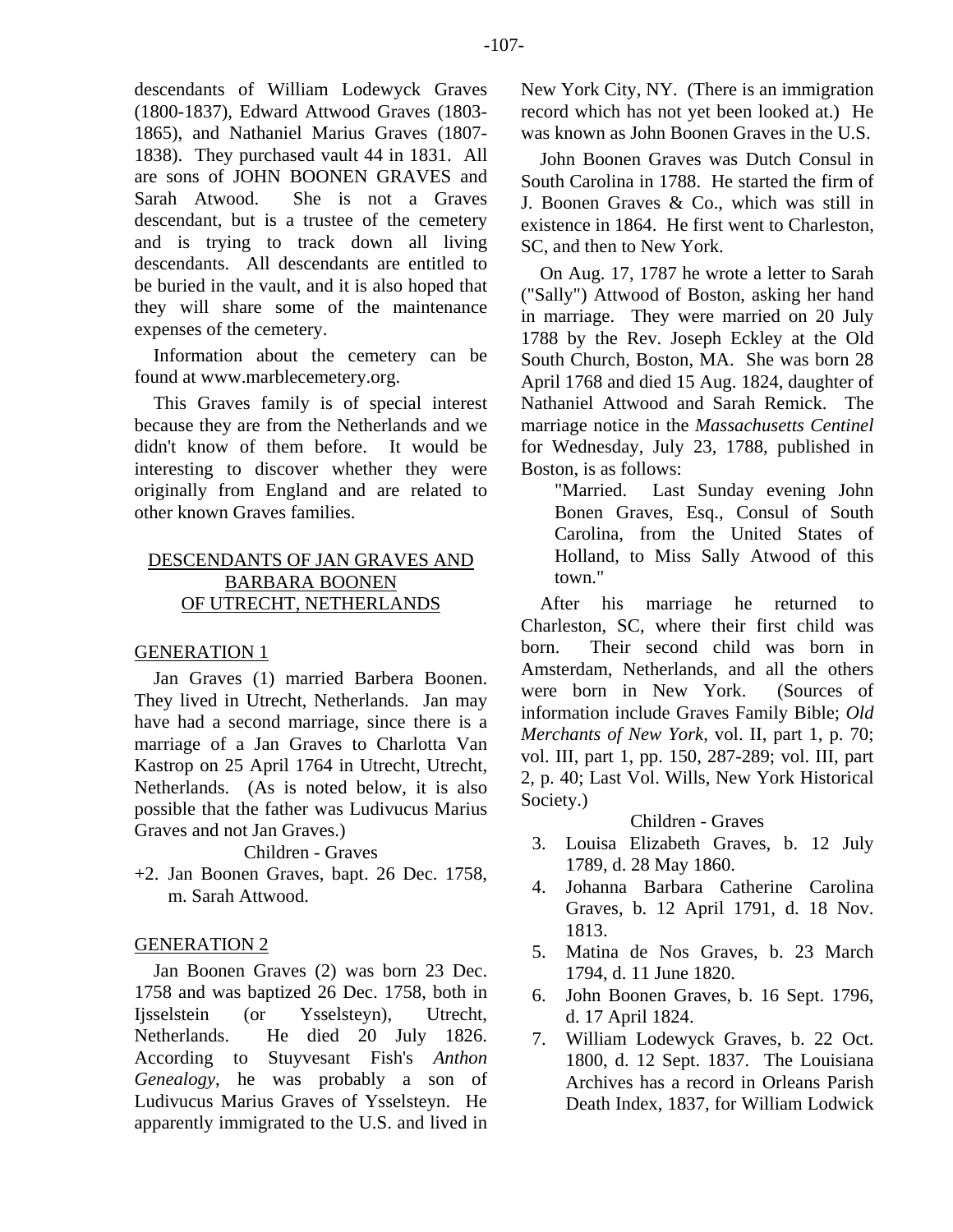descendants of William Lodewyck Graves (1800-1837), Edward Attwood Graves (1803- 1865), and Nathaniel Marius Graves (1807- 1838). They purchased vault 44 in 1831. All are sons of JOHN BOONEN GRAVES and Sarah Atwood. She is not a Graves descendant, but is a trustee of the cemetery and is trying to track down all living descendants. All descendants are entitled to be buried in the vault, and it is also hoped that they will share some of the maintenance expenses of the cemetery.

Information about the cemetery can be found at www.marblecemetery.org.

This Graves family is of special interest because they are from the Netherlands and we didn't know of them before. It would be interesting to discover whether they were originally from England and are related to other known Graves families.

# DESCENDANTS OF JAN GRAVES AND BARBARA BOONEN OF UTRECHT, NETHERLANDS

# GENERATION 1

Jan Graves (1) married Barbera Boonen. They lived in Utrecht, Netherlands. Jan may have had a second marriage, since there is a marriage of a Jan Graves to Charlotta Van Kastrop on 25 April 1764 in Utrecht, Utrecht, Netherlands. (As is noted below, it is also possible that the father was Ludivucus Marius Graves and not Jan Graves.)

# Children - Graves

+2. Jan Boonen Graves, bapt. 26 Dec. 1758, m. Sarah Attwood.

# GENERATION 2

Jan Boonen Graves (2) was born 23 Dec. 1758 and was baptized 26 Dec. 1758, both in Ijsselstein (or Ysselsteyn), Utrecht, Netherlands. He died 20 July 1826. According to Stuyvesant Fish's *Anthon Genealogy*, he was probably a son of Ludivucus Marius Graves of Ysselsteyn. He apparently immigrated to the U.S. and lived in New York City, NY. (There is an immigration record which has not yet been looked at.) He was known as John Boonen Graves in the U.S.

John Boonen Graves was Dutch Consul in South Carolina in 1788. He started the firm of J. Boonen Graves & Co., which was still in existence in 1864. He first went to Charleston, SC, and then to New York.

On Aug. 17, 1787 he wrote a letter to Sarah ("Sally") Attwood of Boston, asking her hand in marriage. They were married on 20 July 1788 by the Rev. Joseph Eckley at the Old South Church, Boston, MA. She was born 28 April 1768 and died 15 Aug. 1824, daughter of Nathaniel Attwood and Sarah Remick. The marriage notice in the *Massachusetts Centinel* for Wednesday, July 23, 1788, published in Boston, is as follows:

"Married. Last Sunday evening John Bonen Graves, Esq., Consul of South Carolina, from the United States of Holland, to Miss Sally Atwood of this town."

After his marriage he returned to Charleston, SC, where their first child was born. Their second child was born in Amsterdam, Netherlands, and all the others were born in New York. (Sources of information include Graves Family Bible; *Old Merchants of New York*, vol. II, part 1, p. 70; vol. III, part 1, pp. 150, 287-289; vol. III, part 2, p. 40; Last Vol. Wills, New York Historical Society.)

# Children - Graves

- 3. Louisa Elizabeth Graves, b. 12 July 1789, d. 28 May 1860.
- 4. Johanna Barbara Catherine Carolina Graves, b. 12 April 1791, d. 18 Nov. 1813.
- 5. Matina de Nos Graves, b. 23 March 1794, d. 11 June 1820.
- 6. John Boonen Graves, b. 16 Sept. 1796, d. 17 April 1824.
- 7. William Lodewyck Graves, b. 22 Oct. 1800, d. 12 Sept. 1837. The Louisiana Archives has a record in Orleans Parish Death Index, 1837, for William Lodwick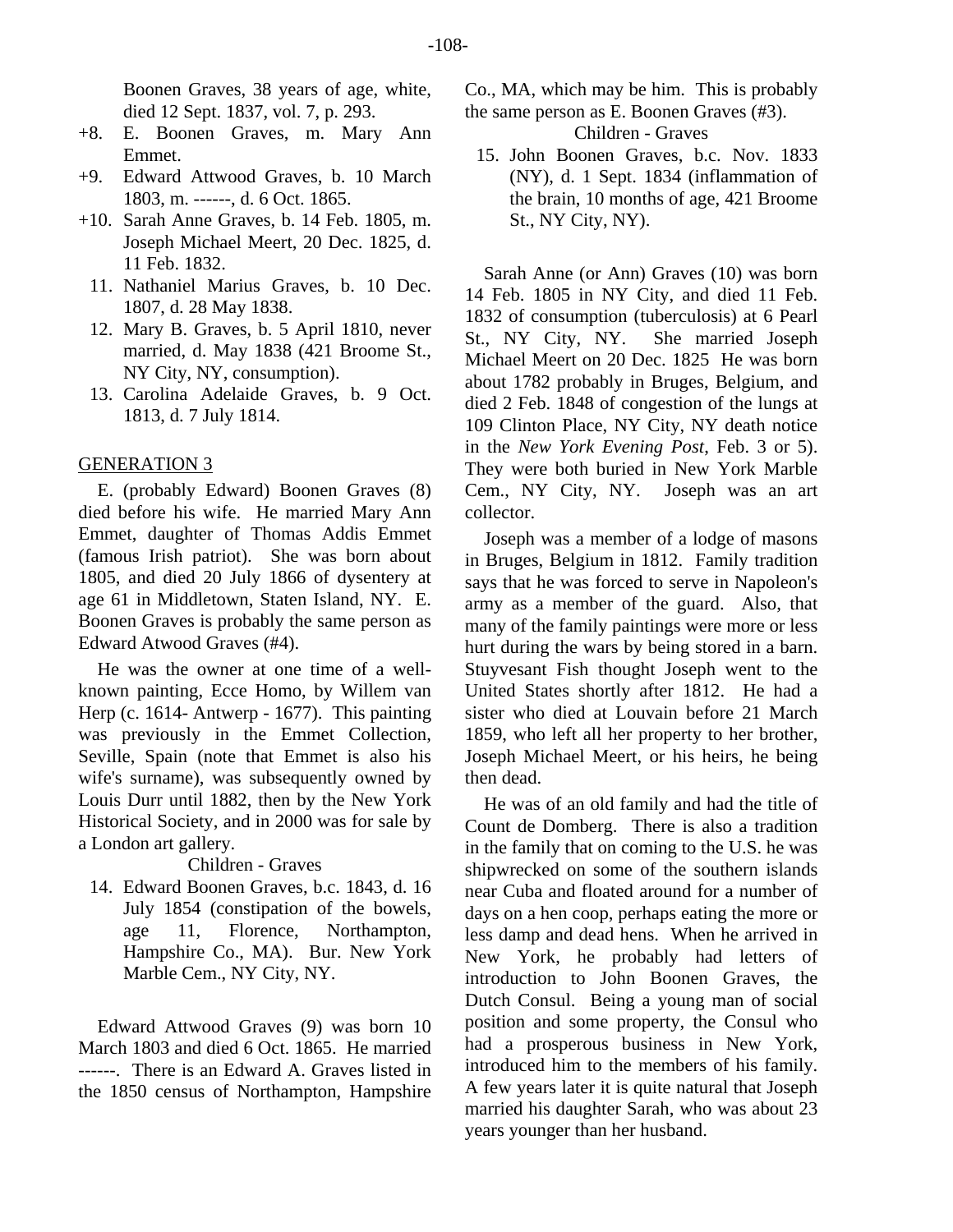Boonen Graves, 38 years of age, white, died 12 Sept. 1837, vol. 7, p. 293.

- +8. E. Boonen Graves, m. Mary Ann Emmet.
- +9. Edward Attwood Graves, b. 10 March 1803, m. ------, d. 6 Oct. 1865.
- +10. Sarah Anne Graves, b. 14 Feb. 1805, m. Joseph Michael Meert, 20 Dec. 1825, d. 11 Feb. 1832.
	- 11. Nathaniel Marius Graves, b. 10 Dec. 1807, d. 28 May 1838.
	- 12. Mary B. Graves, b. 5 April 1810, never married, d. May 1838 (421 Broome St., NY City, NY, consumption).
	- 13. Carolina Adelaide Graves, b. 9 Oct. 1813, d. 7 July 1814.

## GENERATION 3

E. (probably Edward) Boonen Graves (8) died before his wife. He married Mary Ann Emmet, daughter of Thomas Addis Emmet (famous Irish patriot). She was born about 1805, and died 20 July 1866 of dysentery at age 61 in Middletown, Staten Island, NY. E. Boonen Graves is probably the same person as Edward Atwood Graves (#4).

He was the owner at one time of a wellknown painting, Ecce Homo, by Willem van Herp (c. 1614- Antwerp - 1677). This painting was previously in the Emmet Collection, Seville, Spain (note that Emmet is also his wife's surname), was subsequently owned by Louis Durr until 1882, then by the New York Historical Society, and in 2000 was for sale by a London art gallery.

#### Children - Graves

 14. Edward Boonen Graves, b.c. 1843, d. 16 July 1854 (constipation of the bowels, age 11, Florence, Northampton, Hampshire Co., MA). Bur. New York Marble Cem., NY City, NY.

Edward Attwood Graves (9) was born 10 March 1803 and died 6 Oct. 1865. He married ------. There is an Edward A. Graves listed in the 1850 census of Northampton, Hampshire Co., MA, which may be him. This is probably the same person as E. Boonen Graves (#3).

Children - Graves

 15. John Boonen Graves, b.c. Nov. 1833 (NY), d. 1 Sept. 1834 (inflammation of the brain, 10 months of age, 421 Broome St., NY City, NY).

Sarah Anne (or Ann) Graves (10) was born 14 Feb. 1805 in NY City, and died 11 Feb. 1832 of consumption (tuberculosis) at 6 Pearl St., NY City, NY. She married Joseph Michael Meert on 20 Dec. 1825 He was born about 1782 probably in Bruges, Belgium, and died 2 Feb. 1848 of congestion of the lungs at 109 Clinton Place, NY City, NY death notice in the *New York Evening Post*, Feb. 3 or 5). They were both buried in New York Marble Cem., NY City, NY. Joseph was an art collector.

Joseph was a member of a lodge of masons in Bruges, Belgium in 1812. Family tradition says that he was forced to serve in Napoleon's army as a member of the guard. Also, that many of the family paintings were more or less hurt during the wars by being stored in a barn. Stuyvesant Fish thought Joseph went to the United States shortly after 1812. He had a sister who died at Louvain before 21 March 1859, who left all her property to her brother, Joseph Michael Meert, or his heirs, he being then dead.

He was of an old family and had the title of Count de Domberg. There is also a tradition in the family that on coming to the U.S. he was shipwrecked on some of the southern islands near Cuba and floated around for a number of days on a hen coop, perhaps eating the more or less damp and dead hens. When he arrived in New York, he probably had letters of introduction to John Boonen Graves, the Dutch Consul. Being a young man of social position and some property, the Consul who had a prosperous business in New York, introduced him to the members of his family. A few years later it is quite natural that Joseph married his daughter Sarah, who was about 23 years younger than her husband.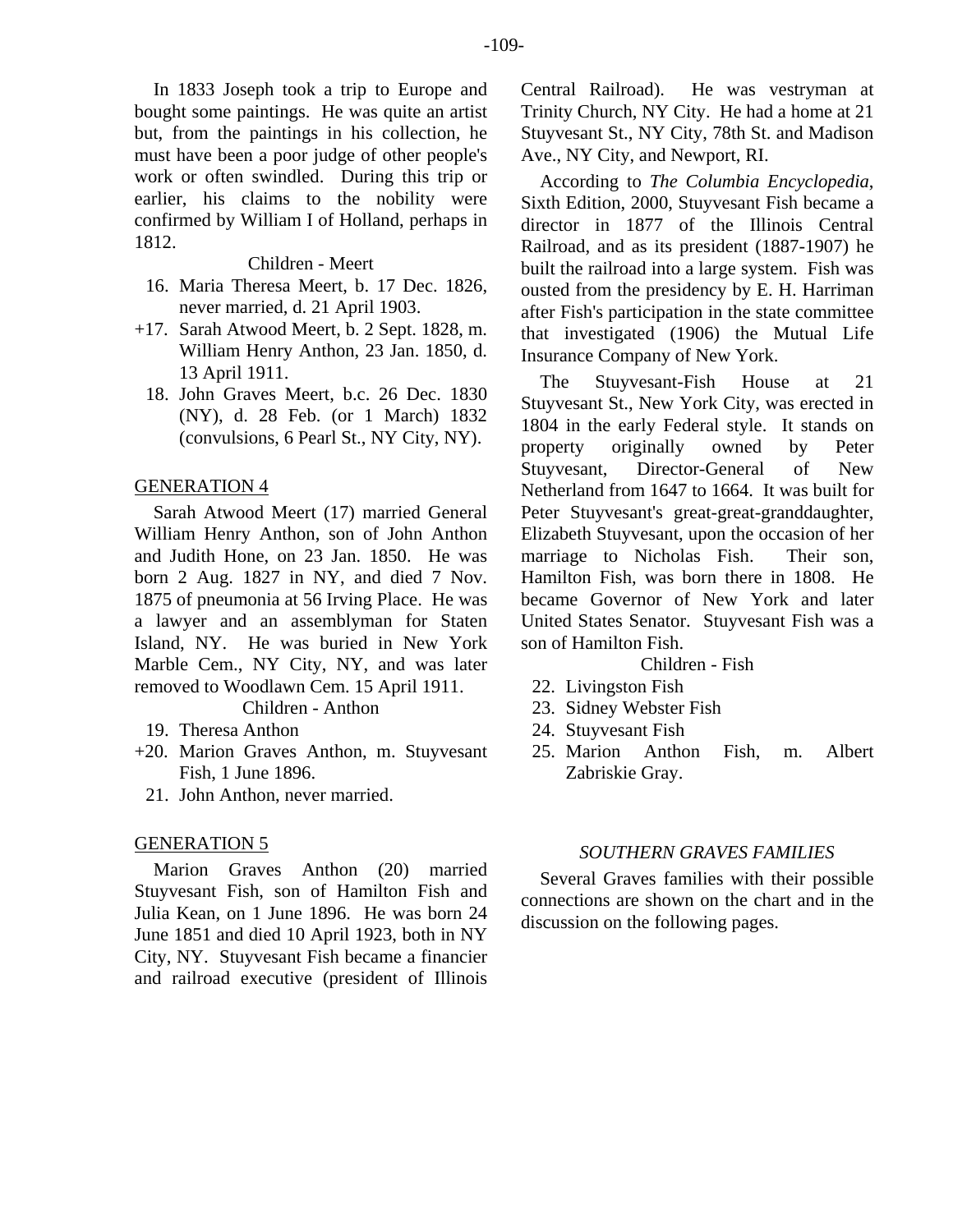In 1833 Joseph took a trip to Europe and bought some paintings. He was quite an artist but, from the paintings in his collection, he must have been a poor judge of other people's work or often swindled. During this trip or earlier, his claims to the nobility were confirmed by William I of Holland, perhaps in 1812.

#### Children - Meert

- 16. Maria Theresa Meert, b. 17 Dec. 1826, never married, d. 21 April 1903.
- +17. Sarah Atwood Meert, b. 2 Sept. 1828, m. William Henry Anthon, 23 Jan. 1850, d. 13 April 1911.
	- 18. John Graves Meert, b.c. 26 Dec. 1830 (NY), d. 28 Feb. (or 1 March) 1832 (convulsions, 6 Pearl St., NY City, NY).

## GENERATION 4

Sarah Atwood Meert (17) married General William Henry Anthon, son of John Anthon and Judith Hone, on 23 Jan. 1850. He was born 2 Aug. 1827 in NY, and died 7 Nov. 1875 of pneumonia at 56 Irving Place. He was a lawyer and an assemblyman for Staten Island, NY. He was buried in New York Marble Cem., NY City, NY, and was later removed to Woodlawn Cem. 15 April 1911.

Children - Anthon

- 19. Theresa Anthon
- +20. Marion Graves Anthon, m. Stuyvesant Fish, 1 June 1896.
	- 21. John Anthon, never married.

## GENERATION 5

Marion Graves Anthon (20) married Stuyvesant Fish, son of Hamilton Fish and Julia Kean, on 1 June 1896. He was born 24 June 1851 and died 10 April 1923, both in NY City, NY. Stuyvesant Fish became a financier and railroad executive (president of Illinois

Central Railroad). He was vestryman at Trinity Church, NY City. He had a home at 21 Stuyvesant St., NY City, 78th St. and Madison Ave., NY City, and Newport, RI.

According to *The Columbia Encyclopedia*, Sixth Edition, 2000, Stuyvesant Fish became a director in 1877 of the Illinois Central Railroad, and as its president (1887-1907) he built the railroad into a large system. Fish was ousted from the presidency by E. H. Harriman after Fish's participation in the state committee that investigated (1906) the Mutual Life Insurance Company of New York.

The Stuyvesant-Fish House at 21 Stuyvesant St., New York City, was erected in 1804 in the early Federal style. It stands on property originally owned by Peter Stuyvesant, Director-General of New Netherland from 1647 to 1664. It was built for Peter Stuyvesant's great-great-granddaughter, Elizabeth Stuyvesant, upon the occasion of her marriage to Nicholas Fish. Their son, Hamilton Fish, was born there in 1808. He became Governor of New York and later United States Senator. Stuyvesant Fish was a son of Hamilton Fish.

- Children Fish
- 22. Livingston Fish
- 23. Sidney Webster Fish
- 24. Stuyvesant Fish
- 25. Marion Anthon Fish, m. Albert Zabriskie Gray.

#### *SOUTHERN GRAVES FAMILIES*

Several Graves families with their possible connections are shown on the chart and in the discussion on the following pages.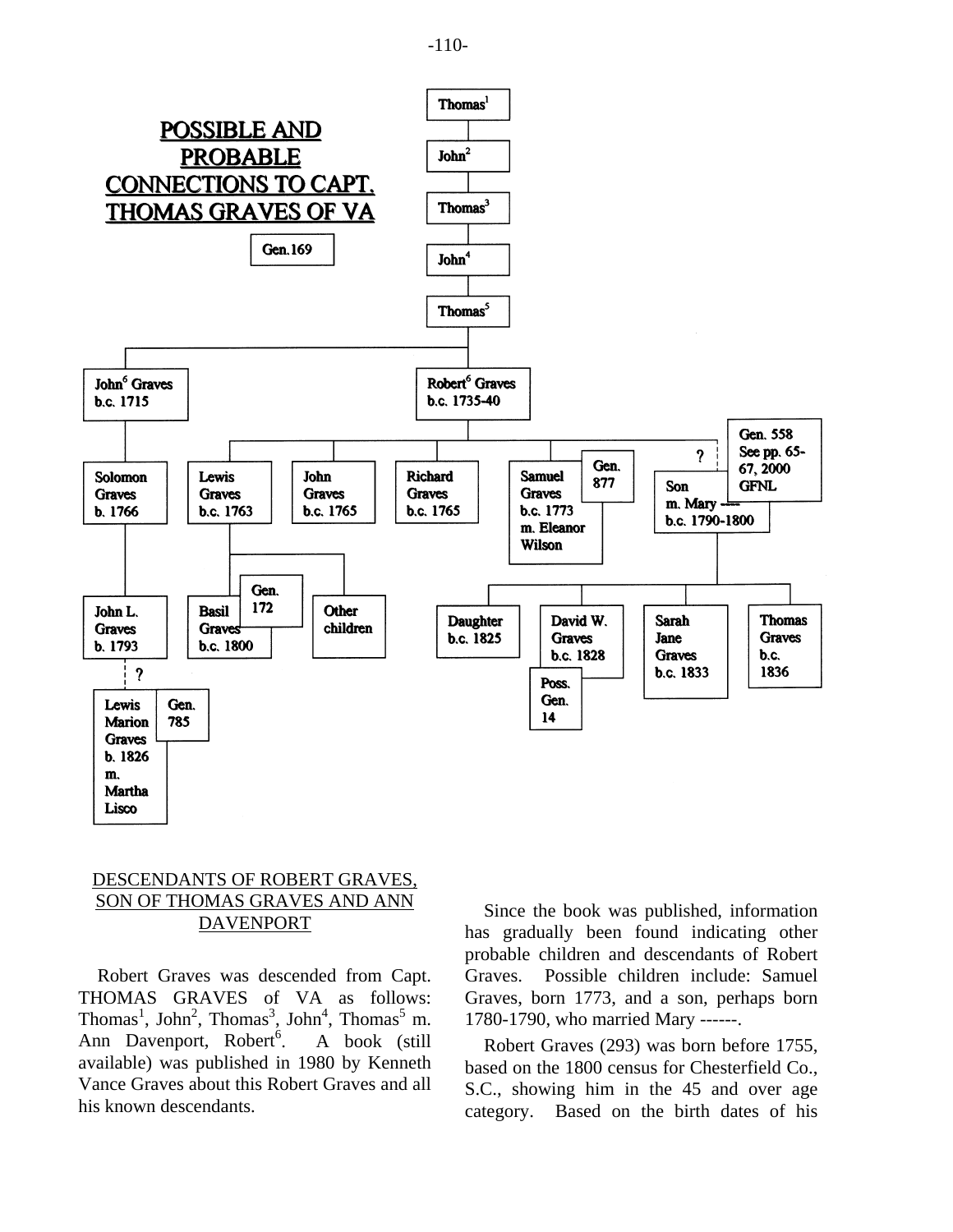



# DESCENDANTS OF ROBERT GRAVES, SON OF THOMAS GRAVES AND ANN DAVENPORT

Robert Graves was descended from Capt. THOMAS GRAVES of VA as follows: Thomas<sup>1</sup>, John<sup>2</sup>, Thomas<sup>3</sup>, John<sup>4</sup>, Thomas<sup>5</sup> m. Ann Davenport, Robert<sup>6</sup>. . A book (still available) was published in 1980 by Kenneth Vance Graves about this Robert Graves and all his known descendants.

Since the book was published, information has gradually been found indicating other probable children and descendants of Robert Graves. Possible children include: Samuel Graves, born 1773, and a son, perhaps born 1780-1790, who married Mary ------.

Robert Graves (293) was born before 1755, based on the 1800 census for Chesterfield Co., S.C., showing him in the 45 and over age category. Based on the birth dates of his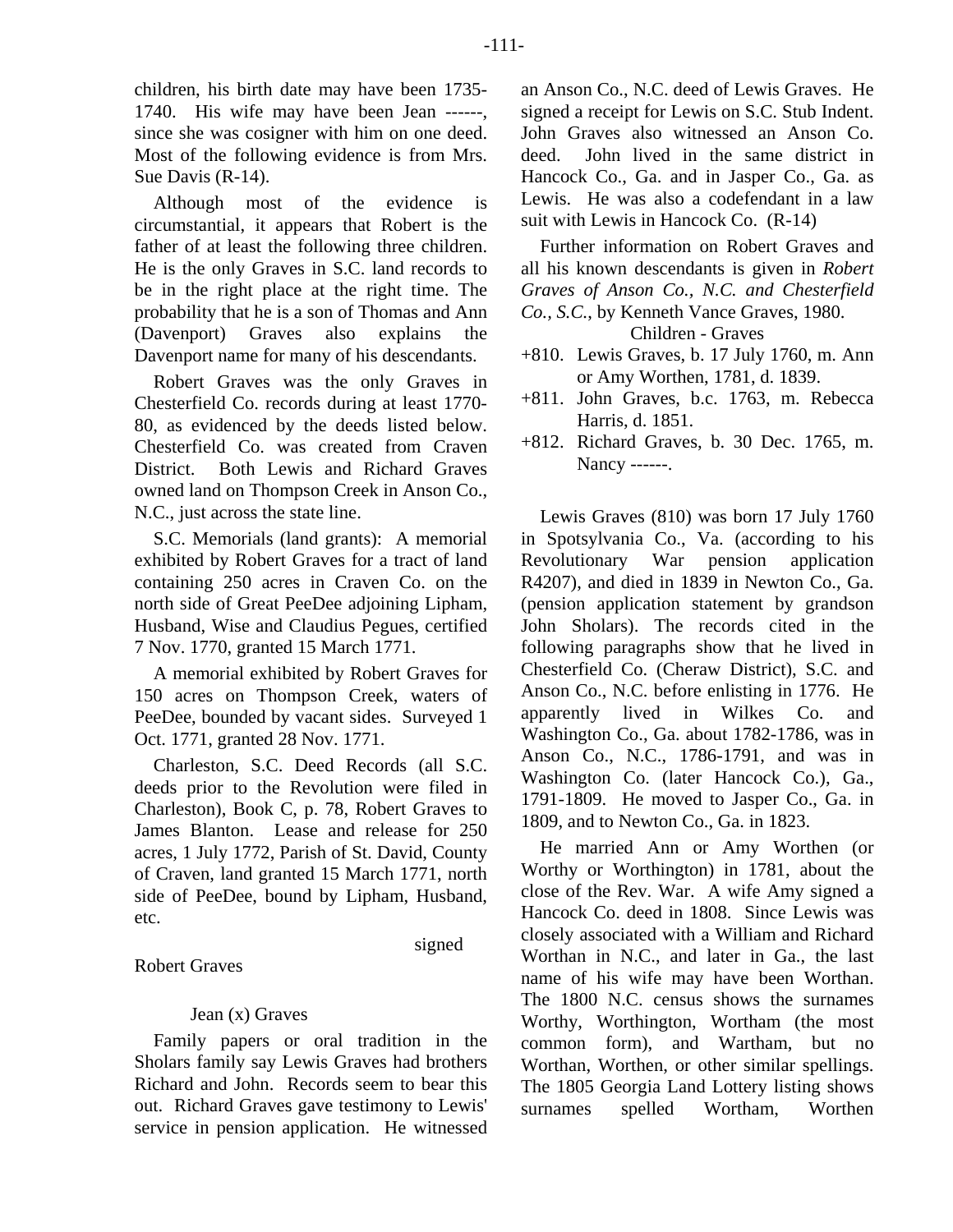children, his birth date may have been 1735- 1740. His wife may have been Jean ------, since she was cosigner with him on one deed. Most of the following evidence is from Mrs. Sue Davis (R-14).

Although most of the evidence is circumstantial, it appears that Robert is the father of at least the following three children. He is the only Graves in S.C. land records to be in the right place at the right time. The probability that he is a son of Thomas and Ann (Davenport) Graves also explains the Davenport name for many of his descendants.

Robert Graves was the only Graves in Chesterfield Co. records during at least 1770- 80, as evidenced by the deeds listed below. Chesterfield Co. was created from Craven District. Both Lewis and Richard Graves owned land on Thompson Creek in Anson Co., N.C., just across the state line.

S.C. Memorials (land grants): A memorial exhibited by Robert Graves for a tract of land containing 250 acres in Craven Co. on the north side of Great PeeDee adjoining Lipham, Husband, Wise and Claudius Pegues, certified 7 Nov. 1770, granted 15 March 1771.

A memorial exhibited by Robert Graves for 150 acres on Thompson Creek, waters of PeeDee, bounded by vacant sides. Surveyed 1 Oct. 1771, granted 28 Nov. 1771.

Charleston, S.C. Deed Records (all S.C. deeds prior to the Revolution were filed in Charleston), Book C, p. 78, Robert Graves to James Blanton. Lease and release for 250 acres, 1 July 1772, Parish of St. David, County of Craven, land granted 15 March 1771, north side of PeeDee, bound by Lipham, Husband, etc.

signed

Robert Graves

# Jean (x) Graves

Family papers or oral tradition in the Sholars family say Lewis Graves had brothers Richard and John. Records seem to bear this out. Richard Graves gave testimony to Lewis' service in pension application. He witnessed an Anson Co., N.C. deed of Lewis Graves. He signed a receipt for Lewis on S.C. Stub Indent. John Graves also witnessed an Anson Co. deed. John lived in the same district in Hancock Co., Ga. and in Jasper Co., Ga. as Lewis. He was also a codefendant in a law suit with Lewis in Hancock Co. (R-14)

Further information on Robert Graves and all his known descendants is given in *Robert Graves of Anson Co., N.C. and Chesterfield Co., S.C.*, by Kenneth Vance Graves, 1980. Children - Graves

+810. Lewis Graves, b. 17 July 1760, m. Ann or Amy Worthen, 1781, d. 1839.

- +811. John Graves, b.c. 1763, m. Rebecca Harris, d. 1851.
- +812. Richard Graves, b. 30 Dec. 1765, m. Nancy ------.

Lewis Graves (810) was born 17 July 1760 in Spotsylvania Co., Va. (according to his Revolutionary War pension application R4207), and died in 1839 in Newton Co., Ga. (pension application statement by grandson John Sholars). The records cited in the following paragraphs show that he lived in Chesterfield Co. (Cheraw District), S.C. and Anson Co., N.C. before enlisting in 1776. He apparently lived in Wilkes Co. and Washington Co., Ga. about 1782-1786, was in Anson Co., N.C., 1786-1791, and was in Washington Co. (later Hancock Co.), Ga., 1791-1809. He moved to Jasper Co., Ga. in 1809, and to Newton Co., Ga. in 1823.

He married Ann or Amy Worthen (or Worthy or Worthington) in 1781, about the close of the Rev. War. A wife Amy signed a Hancock Co. deed in 1808. Since Lewis was closely associated with a William and Richard Worthan in N.C., and later in Ga., the last name of his wife may have been Worthan. The 1800 N.C. census shows the surnames Worthy, Worthington, Wortham (the most common form), and Wartham, but no Worthan, Worthen, or other similar spellings. The 1805 Georgia Land Lottery listing shows surnames spelled Wortham, Worthen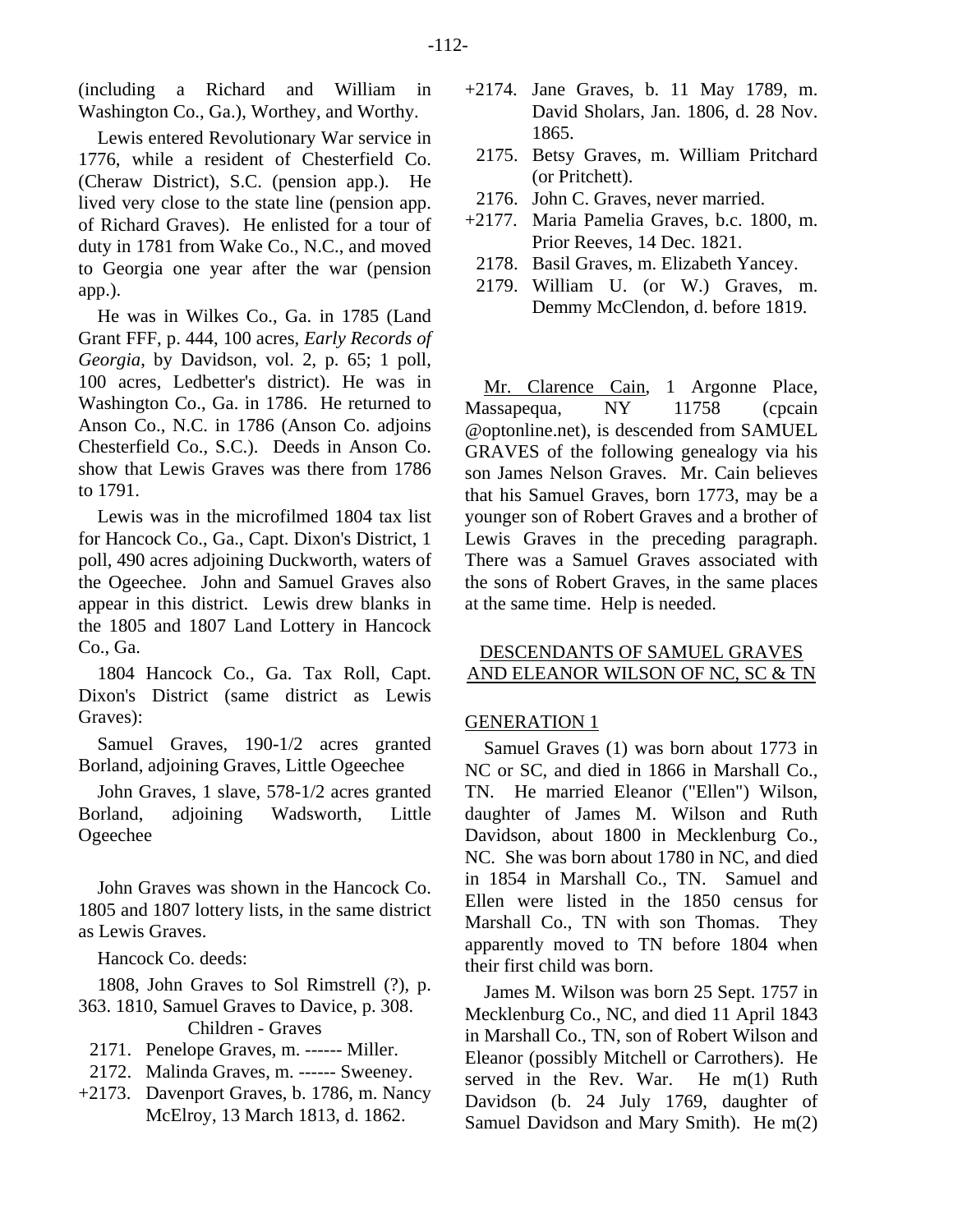(including a Richard and William in Washington Co., Ga.), Worthey, and Worthy.

Lewis entered Revolutionary War service in 1776, while a resident of Chesterfield Co. (Cheraw District), S.C. (pension app.). He lived very close to the state line (pension app. of Richard Graves). He enlisted for a tour of duty in 1781 from Wake Co., N.C., and moved to Georgia one year after the war (pension app.).

He was in Wilkes Co., Ga. in 1785 (Land Grant FFF, p. 444, 100 acres, *Early Records of Georgia*, by Davidson, vol. 2, p. 65; 1 poll, 100 acres, Ledbetter's district). He was in Washington Co., Ga. in 1786. He returned to Anson Co., N.C. in 1786 (Anson Co. adjoins Chesterfield Co., S.C.). Deeds in Anson Co. show that Lewis Graves was there from 1786 to 1791.

Lewis was in the microfilmed 1804 tax list for Hancock Co., Ga., Capt. Dixon's District, 1 poll, 490 acres adjoining Duckworth, waters of the Ogeechee. John and Samuel Graves also appear in this district. Lewis drew blanks in the 1805 and 1807 Land Lottery in Hancock Co., Ga.

1804 Hancock Co., Ga. Tax Roll, Capt. Dixon's District (same district as Lewis Graves):

Samuel Graves, 190-1/2 acres granted Borland, adjoining Graves, Little Ogeechee

John Graves, 1 slave, 578-1/2 acres granted Borland, adjoining Wadsworth, Little Ogeechee

John Graves was shown in the Hancock Co. 1805 and 1807 lottery lists, in the same district as Lewis Graves.

Hancock Co. deeds:

1808, John Graves to Sol Rimstrell (?), p. 363. 1810, Samuel Graves to Davice, p. 308. Children - Graves

- 2171. Penelope Graves, m. ------ Miller.
- 2172. Malinda Graves, m. ------ Sweeney.
- +2173. Davenport Graves, b. 1786, m. Nancy McElroy, 13 March 1813, d. 1862.
- +2174. Jane Graves, b. 11 May 1789, m. David Sholars, Jan. 1806, d. 28 Nov. 1865.
	- 2175. Betsy Graves, m. William Pritchard (or Pritchett).
- 2176. John C. Graves, never married.
- +2177. Maria Pamelia Graves, b.c. 1800, m. Prior Reeves, 14 Dec. 1821.
	- 2178. Basil Graves, m. Elizabeth Yancey.
- 2179. William U. (or W.) Graves, m. Demmy McClendon, d. before 1819.

Mr. Clarence Cain, 1 Argonne Place, Massapequa, NY 11758 (cpcain @optonline.net), is descended from SAMUEL GRAVES of the following genealogy via his son James Nelson Graves. Mr. Cain believes that his Samuel Graves, born 1773, may be a younger son of Robert Graves and a brother of Lewis Graves in the preceding paragraph. There was a Samuel Graves associated with the sons of Robert Graves, in the same places at the same time. Help is needed.

# DESCENDANTS OF SAMUEL GRAVES AND ELEANOR WILSON OF NC, SC & TN

# GENERATION 1

Samuel Graves (1) was born about 1773 in NC or SC, and died in 1866 in Marshall Co., TN. He married Eleanor ("Ellen") Wilson, daughter of James M. Wilson and Ruth Davidson, about 1800 in Mecklenburg Co., NC. She was born about 1780 in NC, and died in 1854 in Marshall Co., TN. Samuel and Ellen were listed in the 1850 census for Marshall Co., TN with son Thomas. They apparently moved to TN before 1804 when their first child was born.

James M. Wilson was born 25 Sept. 1757 in Mecklenburg Co., NC, and died 11 April 1843 in Marshall Co., TN, son of Robert Wilson and Eleanor (possibly Mitchell or Carrothers). He served in the Rev. War. He m(1) Ruth Davidson (b. 24 July 1769, daughter of Samuel Davidson and Mary Smith). He m(2)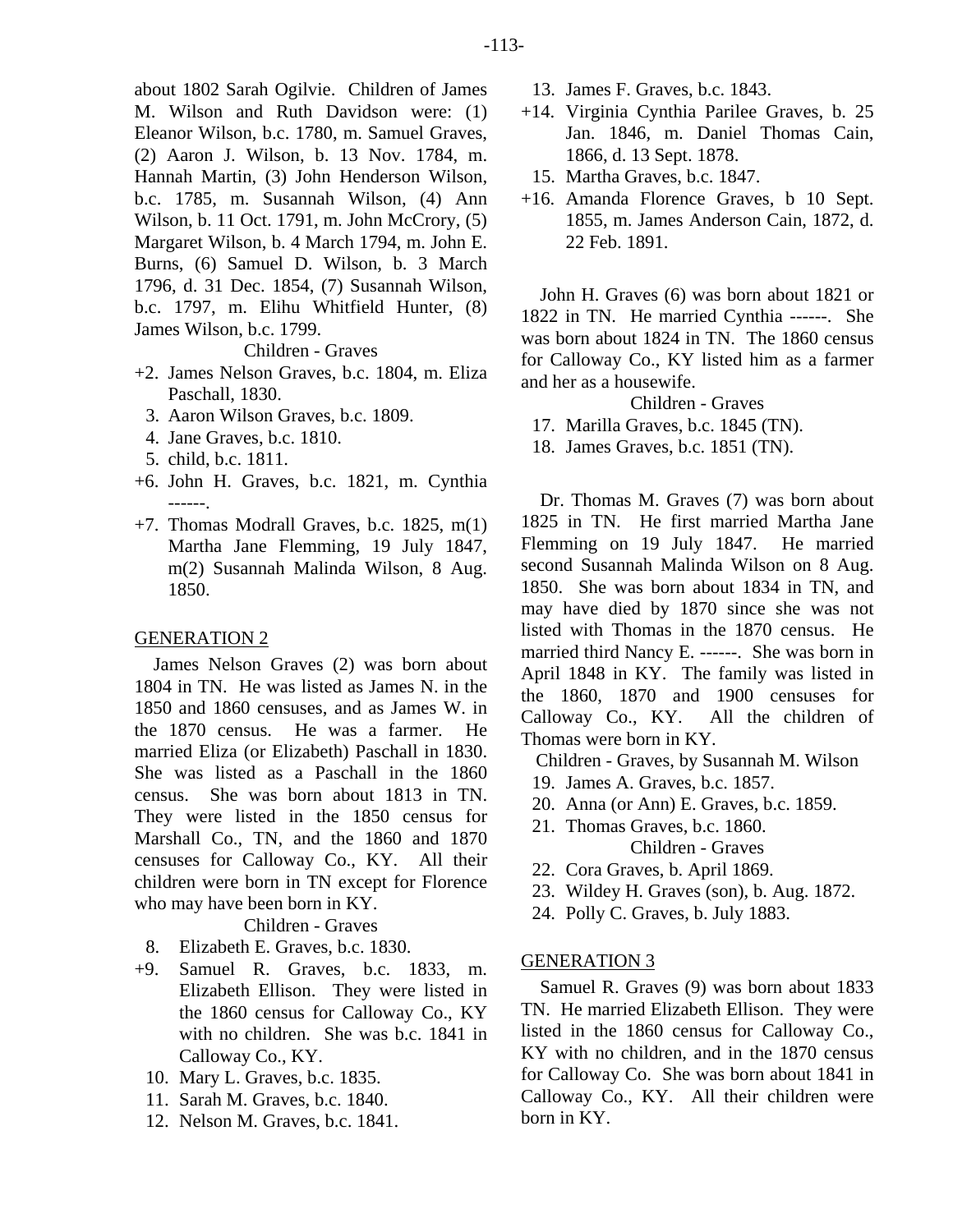about 1802 Sarah Ogilvie. Children of James M. Wilson and Ruth Davidson were: (1) Eleanor Wilson, b.c. 1780, m. Samuel Graves, (2) Aaron J. Wilson, b. 13 Nov. 1784, m. Hannah Martin, (3) John Henderson Wilson, b.c. 1785, m. Susannah Wilson, (4) Ann Wilson, b. 11 Oct. 1791, m. John McCrory, (5) Margaret Wilson, b. 4 March 1794, m. John E. Burns, (6) Samuel D. Wilson, b. 3 March 1796, d. 31 Dec. 1854, (7) Susannah Wilson, b.c. 1797, m. Elihu Whitfield Hunter, (8) James Wilson, b.c. 1799.

Children - Graves

- +2. James Nelson Graves, b.c. 1804, m. Eliza Paschall, 1830.
	- 3. Aaron Wilson Graves, b.c. 1809.
	- 4. Jane Graves, b.c. 1810.
	- 5. child, b.c. 1811.
- +6. John H. Graves, b.c. 1821, m. Cynthia ------.
- +7. Thomas Modrall Graves, b.c. 1825, m(1) Martha Jane Flemming, 19 July 1847, m(2) Susannah Malinda Wilson, 8 Aug. 1850.

#### GENERATION 2

James Nelson Graves (2) was born about 1804 in TN. He was listed as James N. in the 1850 and 1860 censuses, and as James W. in the 1870 census. He was a farmer. He married Eliza (or Elizabeth) Paschall in 1830. She was listed as a Paschall in the 1860 census. She was born about 1813 in TN. They were listed in the 1850 census for Marshall Co., TN, and the 1860 and 1870 censuses for Calloway Co., KY. All their children were born in TN except for Florence who may have been born in KY.

Children - Graves

- 8. Elizabeth E. Graves, b.c. 1830.
- +9. Samuel R. Graves, b.c. 1833, m. Elizabeth Ellison. They were listed in the 1860 census for Calloway Co., KY with no children. She was b.c. 1841 in Calloway Co., KY.
	- 10. Mary L. Graves, b.c. 1835.
	- 11. Sarah M. Graves, b.c. 1840.
	- 12. Nelson M. Graves, b.c. 1841.
- 13. James F. Graves, b.c. 1843.
- +14. Virginia Cynthia Parilee Graves, b. 25 Jan. 1846, m. Daniel Thomas Cain, 1866, d. 13 Sept. 1878.
	- 15. Martha Graves, b.c. 1847.
- +16. Amanda Florence Graves, b 10 Sept. 1855, m. James Anderson Cain, 1872, d. 22 Feb. 1891.

John H. Graves (6) was born about 1821 or 1822 in TN. He married Cynthia ------. She was born about 1824 in TN. The 1860 census for Calloway Co., KY listed him as a farmer and her as a housewife.

Children - Graves

- 17. Marilla Graves, b.c. 1845 (TN).
- 18. James Graves, b.c. 1851 (TN).

Dr. Thomas M. Graves (7) was born about 1825 in TN. He first married Martha Jane Flemming on 19 July 1847. He married second Susannah Malinda Wilson on 8 Aug. 1850. She was born about 1834 in TN, and may have died by 1870 since she was not listed with Thomas in the 1870 census. He married third Nancy E. ------. She was born in April 1848 in KY. The family was listed in the 1860, 1870 and 1900 censuses for Calloway Co., KY. All the children of Thomas were born in KY.

Children - Graves, by Susannah M. Wilson

- 19. James A. Graves, b.c. 1857.
- 20. Anna (or Ann) E. Graves, b.c. 1859.
- 21. Thomas Graves, b.c. 1860. Children - Graves
- 22. Cora Graves, b. April 1869.
- 23. Wildey H. Graves (son), b. Aug. 1872.
- 24. Polly C. Graves, b. July 1883.

#### GENERATION 3

Samuel R. Graves (9) was born about 1833 TN. He married Elizabeth Ellison. They were listed in the 1860 census for Calloway Co., KY with no children, and in the 1870 census for Calloway Co. She was born about 1841 in Calloway Co., KY. All their children were born in KY.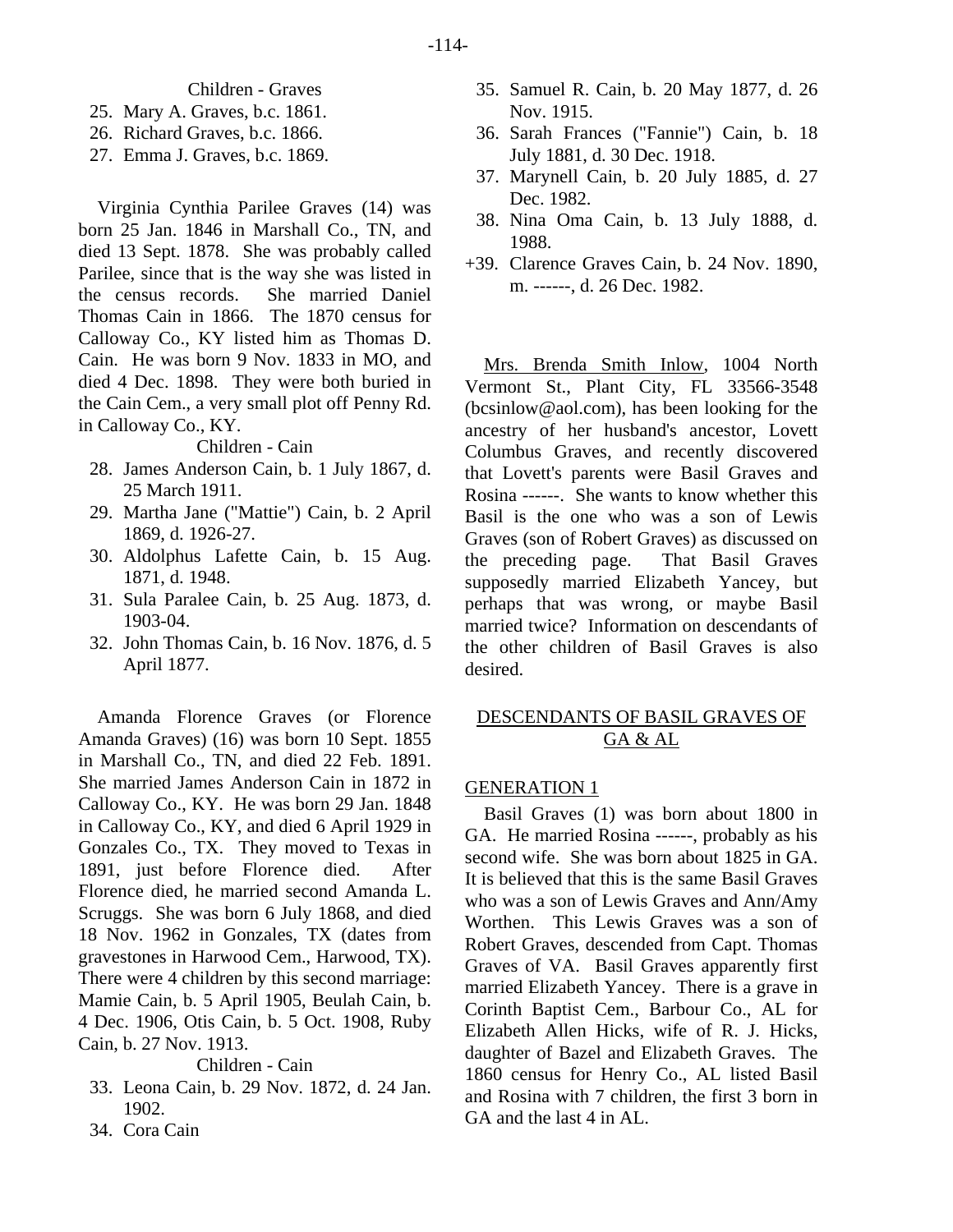# Children - Graves

- 25. Mary A. Graves, b.c. 1861.
- 26. Richard Graves, b.c. 1866.
- 27. Emma J. Graves, b.c. 1869.

Virginia Cynthia Parilee Graves (14) was born 25 Jan. 1846 in Marshall Co., TN, and died 13 Sept. 1878. She was probably called Parilee, since that is the way she was listed in the census records. She married Daniel Thomas Cain in 1866. The 1870 census for Calloway Co., KY listed him as Thomas D. Cain. He was born 9 Nov. 1833 in MO, and died 4 Dec. 1898. They were both buried in the Cain Cem., a very small plot off Penny Rd. in Calloway Co., KY.

# Children - Cain

- 28. James Anderson Cain, b. 1 July 1867, d. 25 March 1911.
- 29. Martha Jane ("Mattie") Cain, b. 2 April 1869, d. 1926-27.
- 30. Aldolphus Lafette Cain, b. 15 Aug. 1871, d. 1948.
- 31. Sula Paralee Cain, b. 25 Aug. 1873, d. 1903-04.
- 32. John Thomas Cain, b. 16 Nov. 1876, d. 5 April 1877.

Amanda Florence Graves (or Florence Amanda Graves) (16) was born 10 Sept. 1855 in Marshall Co., TN, and died 22 Feb. 1891. She married James Anderson Cain in 1872 in Calloway Co., KY. He was born 29 Jan. 1848 in Calloway Co., KY, and died 6 April 1929 in Gonzales Co., TX. They moved to Texas in 1891, just before Florence died. After Florence died, he married second Amanda L. Scruggs. She was born 6 July 1868, and died 18 Nov. 1962 in Gonzales, TX (dates from gravestones in Harwood Cem., Harwood, TX). There were 4 children by this second marriage: Mamie Cain, b. 5 April 1905, Beulah Cain, b. 4 Dec. 1906, Otis Cain, b. 5 Oct. 1908, Ruby Cain, b. 27 Nov. 1913.

# Children - Cain

- 33. Leona Cain, b. 29 Nov. 1872, d. 24 Jan. 1902.
- 34. Cora Cain
- 35. Samuel R. Cain, b. 20 May 1877, d. 26 Nov. 1915.
- 36. Sarah Frances ("Fannie") Cain, b. 18 July 1881, d. 30 Dec. 1918.
- 37. Marynell Cain, b. 20 July 1885, d. 27 Dec. 1982.
- 38. Nina Oma Cain, b. 13 July 1888, d. 1988.
- +39. Clarence Graves Cain, b. 24 Nov. 1890, m. ------, d. 26 Dec. 1982.

Mrs. Brenda Smith Inlow, 1004 North Vermont St., Plant City, FL 33566-3548 (bcsinlow@aol.com), has been looking for the ancestry of her husband's ancestor, Lovett Columbus Graves, and recently discovered that Lovett's parents were Basil Graves and Rosina ------. She wants to know whether this Basil is the one who was a son of Lewis Graves (son of Robert Graves) as discussed on the preceding page. That Basil Graves supposedly married Elizabeth Yancey, but perhaps that was wrong, or maybe Basil married twice? Information on descendants of the other children of Basil Graves is also desired.

# DESCENDANTS OF BASIL GRAVES OF GA & AL

#### GENERATION 1

Basil Graves (1) was born about 1800 in GA. He married Rosina ------, probably as his second wife. She was born about 1825 in GA. It is believed that this is the same Basil Graves who was a son of Lewis Graves and Ann/Amy Worthen. This Lewis Graves was a son of Robert Graves, descended from Capt. Thomas Graves of VA. Basil Graves apparently first married Elizabeth Yancey. There is a grave in Corinth Baptist Cem., Barbour Co., AL for Elizabeth Allen Hicks, wife of R. J. Hicks, daughter of Bazel and Elizabeth Graves. The 1860 census for Henry Co., AL listed Basil and Rosina with 7 children, the first 3 born in GA and the last 4 in AL.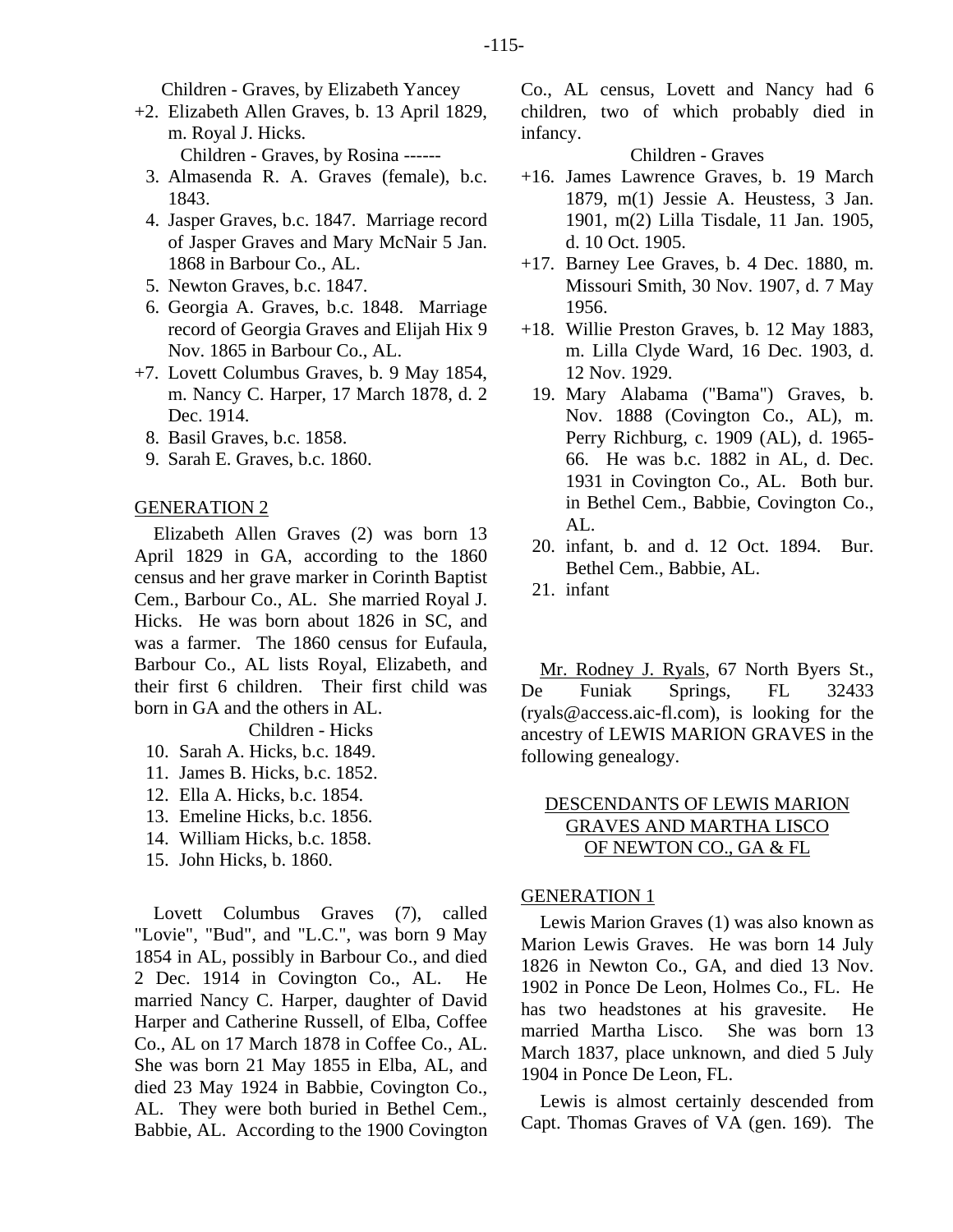- +2. Elizabeth Allen Graves, b. 13 April 1829, m. Royal J. Hicks. Children - Graves, by Rosina ------
	- 3. Almasenda R. A. Graves (female), b.c. 1843.
	- 4. Jasper Graves, b.c. 1847. Marriage record of Jasper Graves and Mary McNair 5 Jan. 1868 in Barbour Co., AL.
	- 5. Newton Graves, b.c. 1847.
	- 6. Georgia A. Graves, b.c. 1848. Marriage record of Georgia Graves and Elijah Hix 9 Nov. 1865 in Barbour Co., AL.
- +7. Lovett Columbus Graves, b. 9 May 1854, m. Nancy C. Harper, 17 March 1878, d. 2 Dec. 1914.
	- 8. Basil Graves, b.c. 1858.
	- 9. Sarah E. Graves, b.c. 1860.

## GENERATION 2

Elizabeth Allen Graves (2) was born 13 April 1829 in GA, according to the 1860 census and her grave marker in Corinth Baptist Cem., Barbour Co., AL. She married Royal J. Hicks. He was born about 1826 in SC, and was a farmer. The 1860 census for Eufaula, Barbour Co., AL lists Royal, Elizabeth, and their first 6 children. Their first child was born in GA and the others in AL.

#### Children - Hicks

- 10. Sarah A. Hicks, b.c. 1849.
- 11. James B. Hicks, b.c. 1852.
- 12. Ella A. Hicks, b.c. 1854.
- 13. Emeline Hicks, b.c. 1856.
- 14. William Hicks, b.c. 1858.
- 15. John Hicks, b. 1860.

Lovett Columbus Graves (7), called "Lovie", "Bud", and "L.C.", was born 9 May 1854 in AL, possibly in Barbour Co., and died 2 Dec. 1914 in Covington Co., AL. He married Nancy C. Harper, daughter of David Harper and Catherine Russell, of Elba, Coffee Co., AL on 17 March 1878 in Coffee Co., AL. She was born 21 May 1855 in Elba, AL, and died 23 May 1924 in Babbie, Covington Co., AL. They were both buried in Bethel Cem., Babbie, AL. According to the 1900 Covington Co., AL census, Lovett and Nancy had 6 children, two of which probably died in infancy.

Children - Graves

- +16. James Lawrence Graves, b. 19 March 1879, m(1) Jessie A. Heustess, 3 Jan. 1901, m(2) Lilla Tisdale, 11 Jan. 1905, d. 10 Oct. 1905.
- +17. Barney Lee Graves, b. 4 Dec. 1880, m. Missouri Smith, 30 Nov. 1907, d. 7 May 1956.
- +18. Willie Preston Graves, b. 12 May 1883, m. Lilla Clyde Ward, 16 Dec. 1903, d. 12 Nov. 1929.
- 19. Mary Alabama ("Bama") Graves, b. Nov. 1888 (Covington Co., AL), m. Perry Richburg, c. 1909 (AL), d. 1965- 66. He was b.c. 1882 in AL, d. Dec. 1931 in Covington Co., AL. Both bur. in Bethel Cem., Babbie, Covington Co.,  $AI<sub>1</sub>$ .
- 20. infant, b. and d. 12 Oct. 1894. Bur. Bethel Cem., Babbie, AL.
- 21. infant

Mr. Rodney J. Ryals, 67 North Byers St., De Funiak Springs, FL 32433 (ryals@access.aic-fl.com), is looking for the ancestry of LEWIS MARION GRAVES in the following genealogy.

# DESCENDANTS OF LEWIS MARION GRAVES AND MARTHA LISCO OF NEWTON CO., GA & FL

#### GENERATION 1

Lewis Marion Graves (1) was also known as Marion Lewis Graves. He was born 14 July 1826 in Newton Co., GA, and died 13 Nov. 1902 in Ponce De Leon, Holmes Co., FL. He has two headstones at his gravesite. He married Martha Lisco. She was born 13 March 1837, place unknown, and died 5 July 1904 in Ponce De Leon, FL.

Lewis is almost certainly descended from Capt. Thomas Graves of VA (gen. 169). The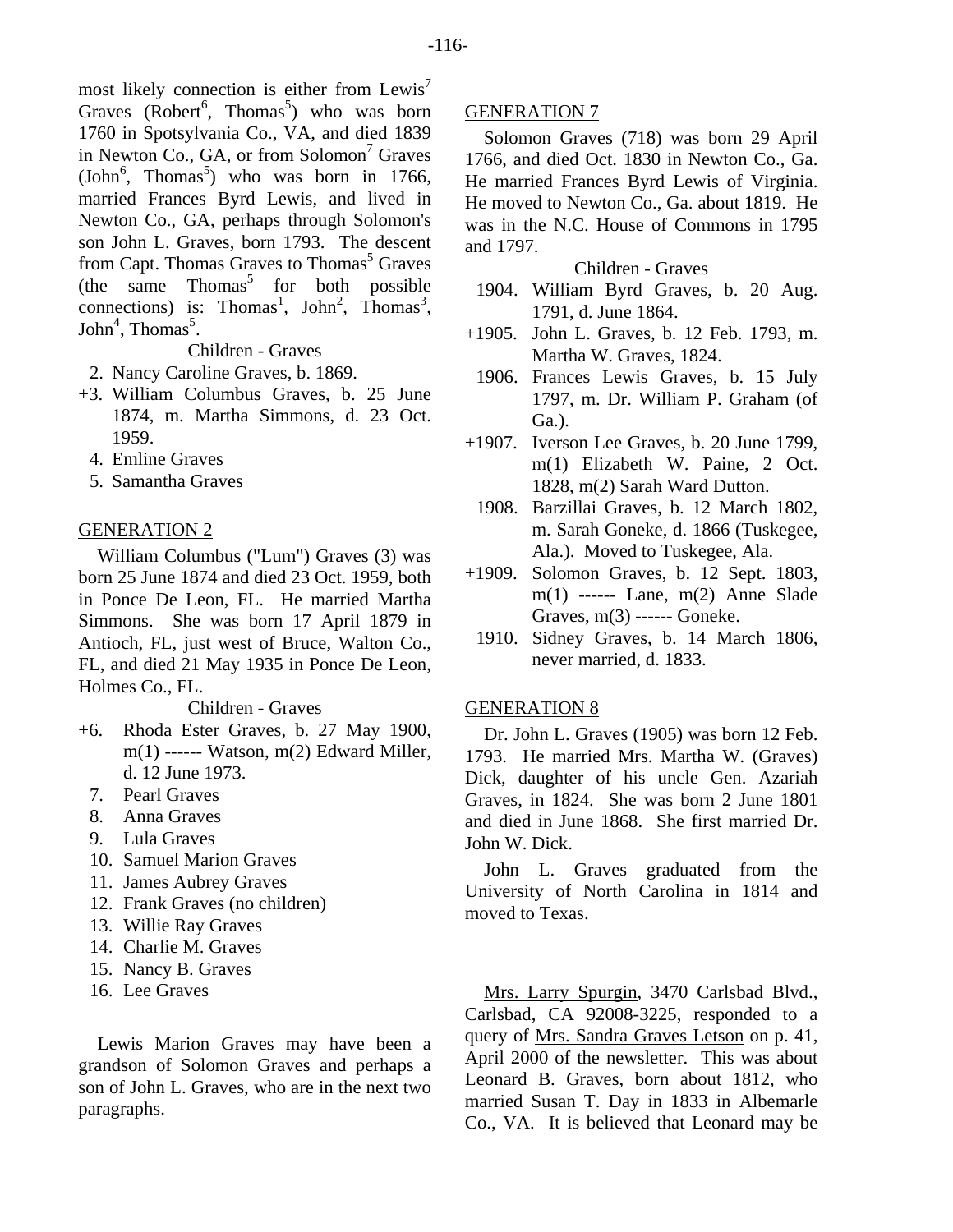most likely connection is either from Lewis<sup> $\prime$ </sup> Graves ( $Robert^6$ , Thomas<sup>5</sup>) who was born 1760 in Spotsylvania Co., VA, and died 1839 in Newton Co., GA, or from Solomon<sup>7</sup> Graves  $(John<sup>6</sup>, Thomas<sup>5</sup>)$  who was born in 1766, married Frances Byrd Lewis, and lived in Newton Co., GA, perhaps through Solomon's son John L. Graves, born 1793. The descent from Capt. Thomas Graves to Thomas<sup>5</sup> Graves  $(the \t same \t Thomas^5 \t for both possible)$ connections) is: Thomas<sup>1</sup>, John<sup>2</sup>, Thomas<sup>3</sup>,  $John<sup>4</sup>$ , Thomas<sup>5</sup>.

Children - Graves

- 2. Nancy Caroline Graves, b. 1869.
- +3. William Columbus Graves, b. 25 June 1874, m. Martha Simmons, d. 23 Oct. 1959.
	- 4. Emline Graves
	- 5. Samantha Graves

# GENERATION 2

William Columbus ("Lum") Graves (3) was born 25 June 1874 and died 23 Oct. 1959, both in Ponce De Leon, FL. He married Martha Simmons. She was born 17 April 1879 in Antioch, FL, just west of Bruce, Walton Co., FL, and died 21 May 1935 in Ponce De Leon, Holmes Co., FL.

Children - Graves

- +6. Rhoda Ester Graves, b. 27 May 1900, m(1) ------ Watson, m(2) Edward Miller, d. 12 June 1973.
	- 7. Pearl Graves
	- 8. Anna Graves
	- 9. Lula Graves
	- 10. Samuel Marion Graves
	- 11. James Aubrey Graves
	- 12. Frank Graves (no children)
	- 13. Willie Ray Graves
	- 14. Charlie M. Graves
	- 15. Nancy B. Graves
	- 16. Lee Graves

Lewis Marion Graves may have been a grandson of Solomon Graves and perhaps a son of John L. Graves, who are in the next two paragraphs.

# GENERATION 7

Solomon Graves (718) was born 29 April 1766, and died Oct. 1830 in Newton Co., Ga. He married Frances Byrd Lewis of Virginia. He moved to Newton Co., Ga. about 1819. He was in the N.C. House of Commons in 1795 and 1797.

# Children - Graves

- 1904. William Byrd Graves, b. 20 Aug. 1791, d. June 1864.
- +1905. John L. Graves, b. 12 Feb. 1793, m. Martha W. Graves, 1824.
	- 1906. Frances Lewis Graves, b. 15 July 1797, m. Dr. William P. Graham (of Ga.).
- +1907. Iverson Lee Graves, b. 20 June 1799, m(1) Elizabeth W. Paine, 2 Oct. 1828, m(2) Sarah Ward Dutton.
	- 1908. Barzillai Graves, b. 12 March 1802, m. Sarah Goneke, d. 1866 (Tuskegee, Ala.). Moved to Tuskegee, Ala.
- +1909. Solomon Graves, b. 12 Sept. 1803, m(1) ------ Lane, m(2) Anne Slade Graves, m(3) ------ Goneke.
	- 1910. Sidney Graves, b. 14 March 1806, never married, d. 1833.

# GENERATION 8

Dr. John L. Graves (1905) was born 12 Feb. 1793. He married Mrs. Martha W. (Graves) Dick, daughter of his uncle Gen. Azariah Graves, in 1824. She was born 2 June 1801 and died in June 1868. She first married Dr. John W. Dick.

John L. Graves graduated from the University of North Carolina in 1814 and moved to Texas.

Mrs. Larry Spurgin, 3470 Carlsbad Blvd., Carlsbad, CA 92008-3225, responded to a query of Mrs. Sandra Graves Letson on p. 41, April 2000 of the newsletter. This was about Leonard B. Graves, born about 1812, who married Susan T. Day in 1833 in Albemarle Co., VA. It is believed that Leonard may be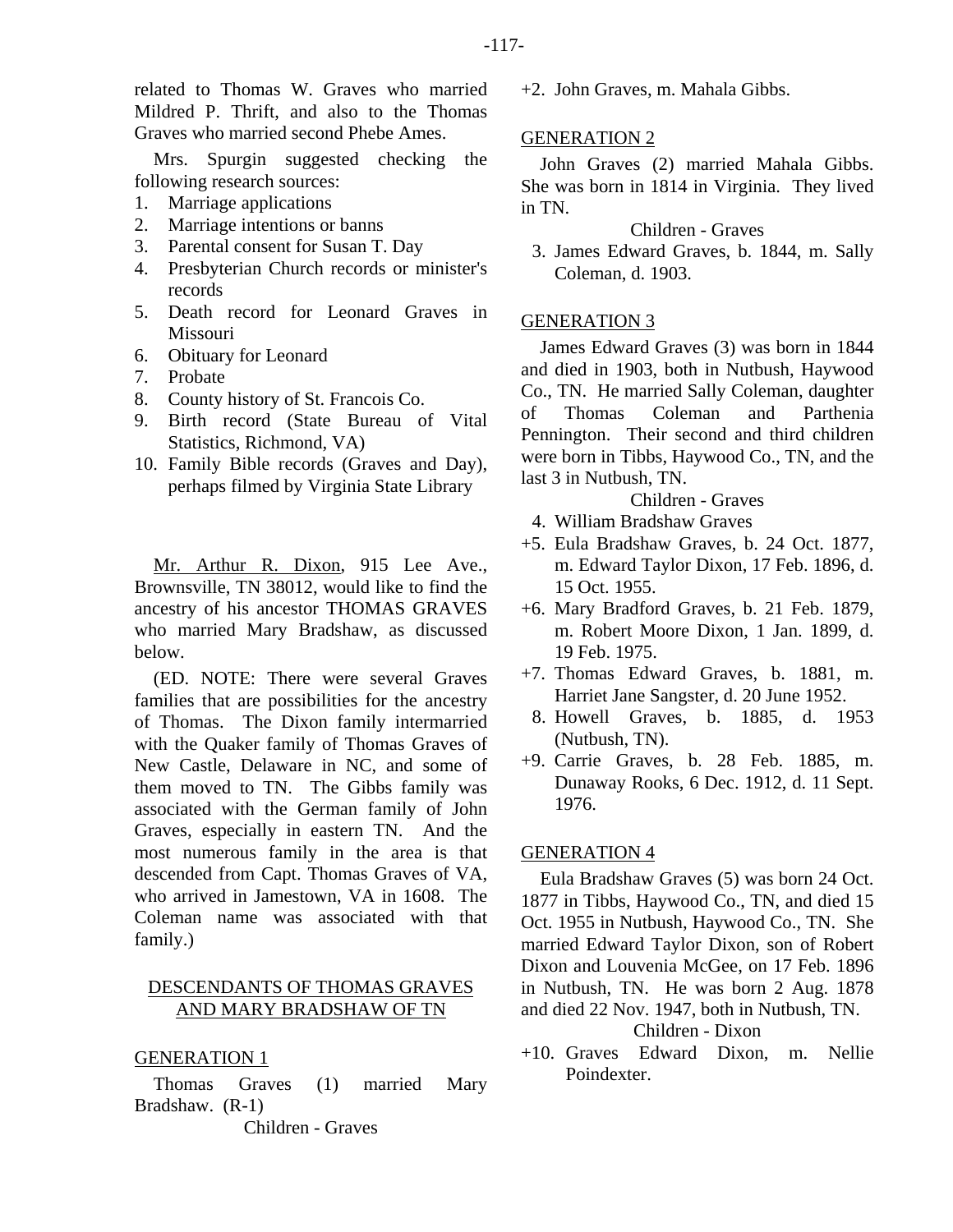related to Thomas W. Graves who married Mildred P. Thrift, and also to the Thomas Graves who married second Phebe Ames.

Mrs. Spurgin suggested checking the following research sources:

- 1. Marriage applications
- 2. Marriage intentions or banns
- 3. Parental consent for Susan T. Day
- 4. Presbyterian Church records or minister's records
- 5. Death record for Leonard Graves in Missouri
- 6. Obituary for Leonard
- 7. Probate
- 8. County history of St. Francois Co.
- 9. Birth record (State Bureau of Vital Statistics, Richmond, VA)
- 10. Family Bible records (Graves and Day), perhaps filmed by Virginia State Library

Mr. Arthur R. Dixon, 915 Lee Ave., Brownsville, TN 38012, would like to find the ancestry of his ancestor THOMAS GRAVES who married Mary Bradshaw, as discussed below.

(ED. NOTE: There were several Graves families that are possibilities for the ancestry of Thomas. The Dixon family intermarried with the Quaker family of Thomas Graves of New Castle, Delaware in NC, and some of them moved to TN. The Gibbs family was associated with the German family of John Graves, especially in eastern TN. And the most numerous family in the area is that descended from Capt. Thomas Graves of VA, who arrived in Jamestown, VA in 1608. The Coleman name was associated with that family.)

# DESCENDANTS OF THOMAS GRAVES AND MARY BRADSHAW OF TN

# GENERATION 1

Thomas Graves (1) married Mary Bradshaw. (R-1)

Children - Graves

+2. John Graves, m. Mahala Gibbs.

# GENERATION 2

John Graves (2) married Mahala Gibbs. She was born in 1814 in Virginia. They lived in TN.

Children - Graves

 3. James Edward Graves, b. 1844, m. Sally Coleman, d. 1903.

# GENERATION 3

James Edward Graves (3) was born in 1844 and died in 1903, both in Nutbush, Haywood Co., TN. He married Sally Coleman, daughter of Thomas Coleman and Parthenia Pennington. Their second and third children were born in Tibbs, Haywood Co., TN, and the last 3 in Nutbush, TN.

Children - Graves

- 4. William Bradshaw Graves
- +5. Eula Bradshaw Graves, b. 24 Oct. 1877, m. Edward Taylor Dixon, 17 Feb. 1896, d. 15 Oct. 1955.
- +6. Mary Bradford Graves, b. 21 Feb. 1879, m. Robert Moore Dixon, 1 Jan. 1899, d. 19 Feb. 1975.
- +7. Thomas Edward Graves, b. 1881, m. Harriet Jane Sangster, d. 20 June 1952.
- 8. Howell Graves, b. 1885, d. 1953 (Nutbush, TN).
- +9. Carrie Graves, b. 28 Feb. 1885, m. Dunaway Rooks, 6 Dec. 1912, d. 11 Sept. 1976.

# GENERATION 4

Eula Bradshaw Graves (5) was born 24 Oct. 1877 in Tibbs, Haywood Co., TN, and died 15 Oct. 1955 in Nutbush, Haywood Co., TN. She married Edward Taylor Dixon, son of Robert Dixon and Louvenia McGee, on 17 Feb. 1896 in Nutbush, TN. He was born 2 Aug. 1878 and died 22 Nov. 1947, both in Nutbush, TN.

# Children - Dixon

+10. Graves Edward Dixon, m. Nellie Poindexter.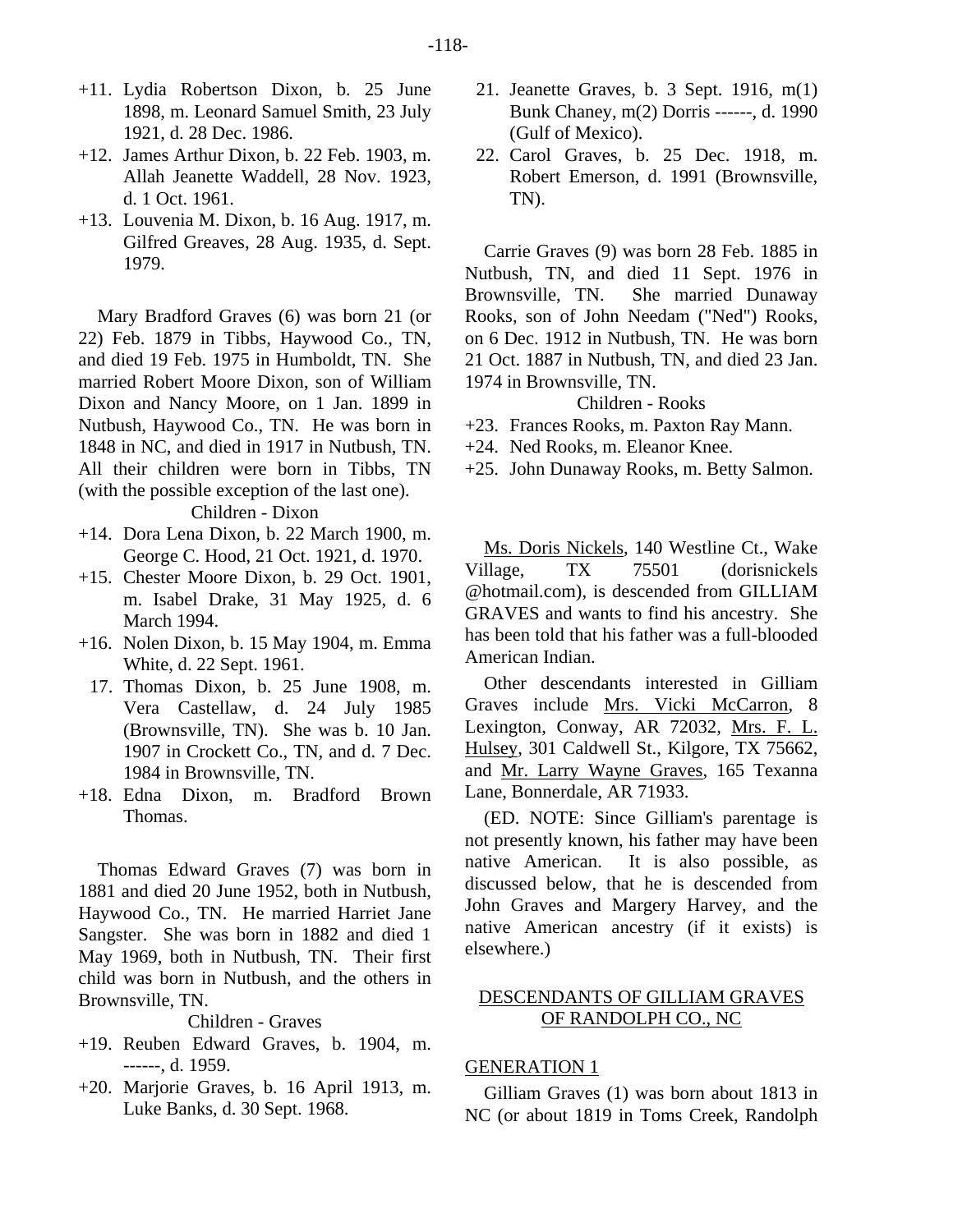- +11. Lydia Robertson Dixon, b. 25 June 1898, m. Leonard Samuel Smith, 23 July 1921, d. 28 Dec. 1986.
- +12. James Arthur Dixon, b. 22 Feb. 1903, m. Allah Jeanette Waddell, 28 Nov. 1923, d. 1 Oct. 1961.
- +13. Louvenia M. Dixon, b. 16 Aug. 1917, m. Gilfred Greaves, 28 Aug. 1935, d. Sept. 1979.

Mary Bradford Graves (6) was born 21 (or 22) Feb. 1879 in Tibbs, Haywood Co., TN, and died 19 Feb. 1975 in Humboldt, TN. She married Robert Moore Dixon, son of William Dixon and Nancy Moore, on 1 Jan. 1899 in Nutbush, Haywood Co., TN. He was born in 1848 in NC, and died in 1917 in Nutbush, TN. All their children were born in Tibbs, TN (with the possible exception of the last one).

Children - Dixon

- +14. Dora Lena Dixon, b. 22 March 1900, m. George C. Hood, 21 Oct. 1921, d. 1970.
- +15. Chester Moore Dixon, b. 29 Oct. 1901, m. Isabel Drake, 31 May 1925, d. 6 March 1994.
- +16. Nolen Dixon, b. 15 May 1904, m. Emma White, d. 22 Sept. 1961.
	- 17. Thomas Dixon, b. 25 June 1908, m. Vera Castellaw, d. 24 July 1985 (Brownsville, TN). She was b. 10 Jan. 1907 in Crockett Co., TN, and d. 7 Dec. 1984 in Brownsville, TN.
- +18. Edna Dixon, m. Bradford Brown Thomas.

Thomas Edward Graves (7) was born in 1881 and died 20 June 1952, both in Nutbush, Haywood Co., TN. He married Harriet Jane Sangster. She was born in 1882 and died 1 May 1969, both in Nutbush, TN. Their first child was born in Nutbush, and the others in Brownsville, TN.

Children - Graves

- +19. Reuben Edward Graves, b. 1904, m. ------, d. 1959.
- +20. Marjorie Graves, b. 16 April 1913, m. Luke Banks, d. 30 Sept. 1968.
- 21. Jeanette Graves, b. 3 Sept. 1916, m(1) Bunk Chaney, m(2) Dorris ------, d. 1990 (Gulf of Mexico).
- 22. Carol Graves, b. 25 Dec. 1918, m. Robert Emerson, d. 1991 (Brownsville, TN).

Carrie Graves (9) was born 28 Feb. 1885 in Nutbush, TN, and died 11 Sept. 1976 in Brownsville, TN. She married Dunaway Rooks, son of John Needam ("Ned") Rooks, on 6 Dec. 1912 in Nutbush, TN. He was born 21 Oct. 1887 in Nutbush, TN, and died 23 Jan. 1974 in Brownsville, TN.

# Children - Rooks

- +23. Frances Rooks, m. Paxton Ray Mann.
- +24. Ned Rooks, m. Eleanor Knee.
- +25. John Dunaway Rooks, m. Betty Salmon.

Ms. Doris Nickels, 140 Westline Ct., Wake Village, TX 75501 (dorisnickels @hotmail.com), is descended from GILLIAM GRAVES and wants to find his ancestry. She has been told that his father was a full-blooded American Indian.

Other descendants interested in Gilliam Graves include Mrs. Vicki McCarron, 8 Lexington, Conway, AR 72032, Mrs. F. L. Hulsey, 301 Caldwell St., Kilgore, TX 75662, and Mr. Larry Wayne Graves, 165 Texanna Lane, Bonnerdale, AR 71933.

(ED. NOTE: Since Gilliam's parentage is not presently known, his father may have been native American. It is also possible, as discussed below, that he is descended from John Graves and Margery Harvey, and the native American ancestry (if it exists) is elsewhere.)

# DESCENDANTS OF GILLIAM GRAVES OF RANDOLPH CO., NC

#### GENERATION 1

Gilliam Graves (1) was born about 1813 in NC (or about 1819 in Toms Creek, Randolph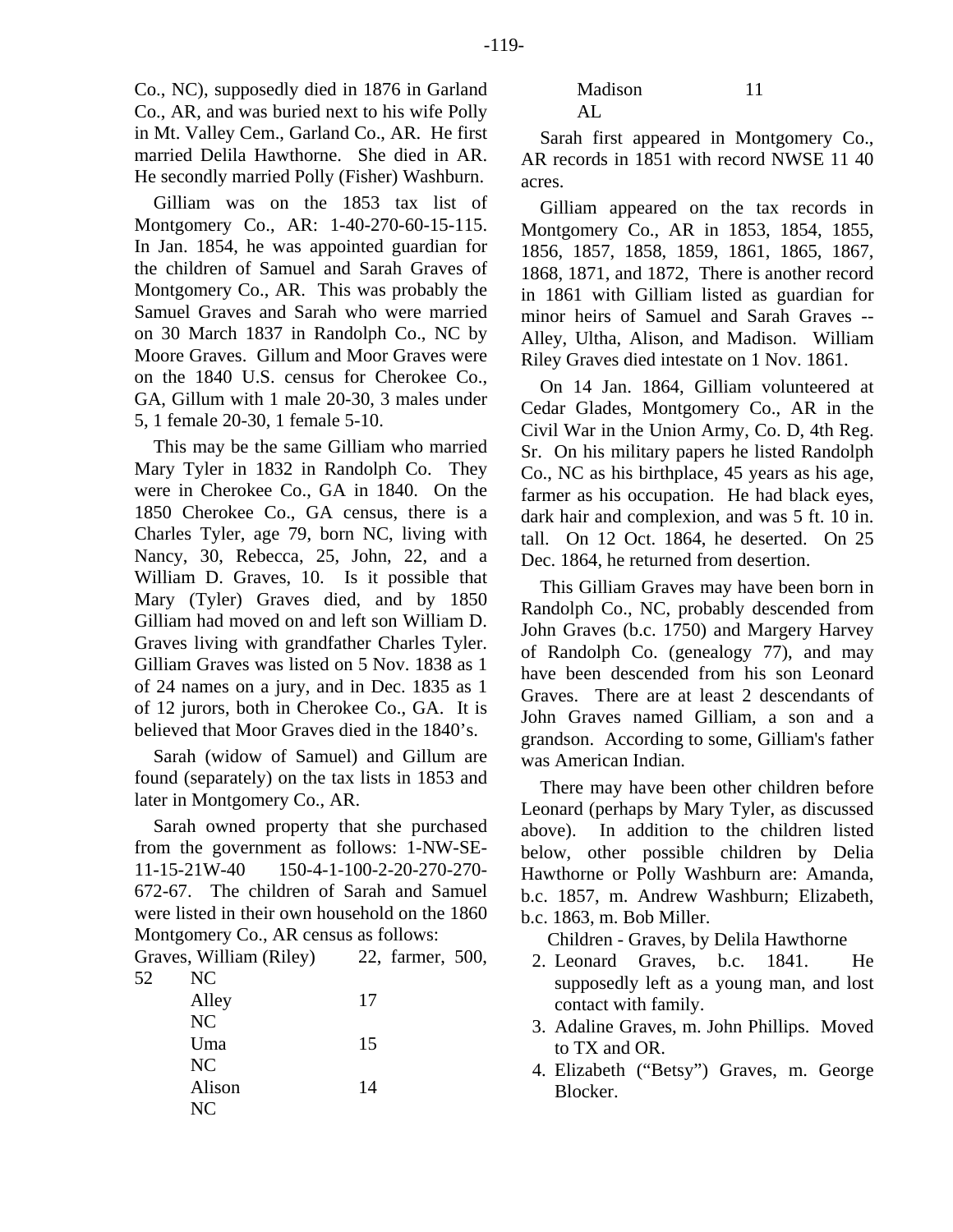Gilliam was on the 1853 tax list of Montgomery Co., AR: 1-40-270-60-15-115. In Jan. 1854, he was appointed guardian for the children of Samuel and Sarah Graves of Montgomery Co., AR. This was probably the Samuel Graves and Sarah who were married on 30 March 1837 in Randolph Co., NC by Moore Graves. Gillum and Moor Graves were on the 1840 U.S. census for Cherokee Co., GA, Gillum with 1 male 20-30, 3 males under 5, 1 female 20-30, 1 female 5-10.

This may be the same Gilliam who married Mary Tyler in 1832 in Randolph Co. They were in Cherokee Co., GA in 1840. On the 1850 Cherokee Co., GA census, there is a Charles Tyler, age 79, born NC, living with Nancy, 30, Rebecca, 25, John, 22, and a William D. Graves, 10. Is it possible that Mary (Tyler) Graves died, and by 1850 Gilliam had moved on and left son William D. Graves living with grandfather Charles Tyler. Gilliam Graves was listed on 5 Nov. 1838 as 1 of 24 names on a jury, and in Dec. 1835 as 1 of 12 jurors, both in Cherokee Co., GA. It is believed that Moor Graves died in the 1840's.

Sarah (widow of Samuel) and Gillum are found (separately) on the tax lists in 1853 and later in Montgomery Co., AR.

Sarah owned property that she purchased from the government as follows: 1-NW-SE-11-15-21W-40 150-4-1-100-2-20-270-270- 672-67. The children of Sarah and Samuel were listed in their own household on the 1860 Montgomery Co., AR census as follows:

Graves, William (Riley) 22, farmer, 500, 52 NC

| Alley  | 17 |
|--------|----|
| NC     |    |
| Uma    | 15 |
| NC     |    |
| Alison | 14 |
| NC.    |    |

Madison 11 AL

Sarah first appeared in Montgomery Co., AR records in 1851 with record NWSE 11 40 acres.

Gilliam appeared on the tax records in Montgomery Co., AR in 1853, 1854, 1855, 1856, 1857, 1858, 1859, 1861, 1865, 1867, 1868, 1871, and 1872, There is another record in 1861 with Gilliam listed as guardian for minor heirs of Samuel and Sarah Graves -- Alley, Ultha, Alison, and Madison. William Riley Graves died intestate on 1 Nov. 1861.

On 14 Jan. 1864, Gilliam volunteered at Cedar Glades, Montgomery Co., AR in the Civil War in the Union Army, Co. D, 4th Reg. Sr. On his military papers he listed Randolph Co., NC as his birthplace, 45 years as his age, farmer as his occupation. He had black eyes, dark hair and complexion, and was 5 ft. 10 in. tall. On 12 Oct. 1864, he deserted. On 25 Dec. 1864, he returned from desertion.

This Gilliam Graves may have been born in Randolph Co., NC, probably descended from John Graves (b.c. 1750) and Margery Harvey of Randolph Co. (genealogy 77), and may have been descended from his son Leonard Graves. There are at least 2 descendants of John Graves named Gilliam, a son and a grandson. According to some, Gilliam's father was American Indian.

There may have been other children before Leonard (perhaps by Mary Tyler, as discussed above). In addition to the children listed below, other possible children by Delia Hawthorne or Polly Washburn are: Amanda, b.c. 1857, m. Andrew Washburn; Elizabeth, b.c. 1863, m. Bob Miller.

Children - Graves, by Delila Hawthorne

- 2. Leonard Graves, b.c. 1841. He supposedly left as a young man, and lost contact with family.
- 3. Adaline Graves, m. John Phillips. Moved to TX and OR.
- 4. Elizabeth ("Betsy") Graves, m. George Blocker.